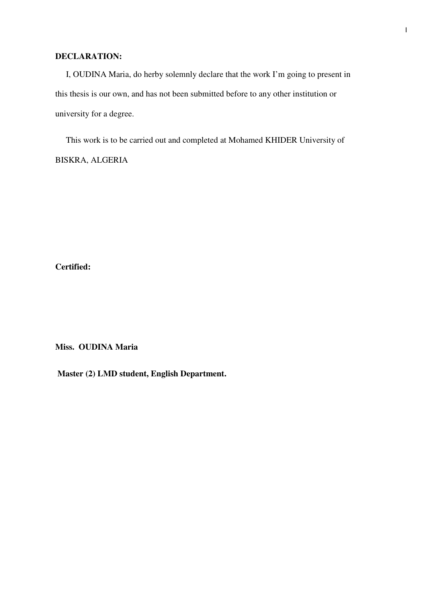#### **DECLARATION:**

 I, OUDINA Maria, do herby solemnly declare that the work I'm going to present in this thesis is our own, and has not been submitted before to any other institution or university for a degree.

 This work is to be carried out and completed at Mohamed KHIDER University of BISKRA, ALGERIA

**Certified:** 

**Miss. OUDINA Maria** 

 **Master (2) LMD student, English Department.**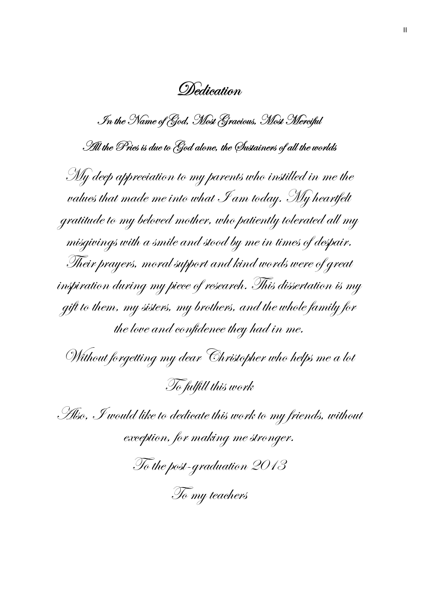Dedication

 $\mathscr I$ n the Name of God, Most Gracious, Most Merciful

TI the Pries is due to God alone, the Sustainers of all the worlds

 $\mathscr{M}_\mathscr{Y}$  deep appreciation to my parents who instilled in me the values that made me into what  ${\mathscr I}$ am today. My heartfelt gratitude to my beloved mother, who patiently tolerated all my misgivings with a smile and stood by me in times of despair. Their prayers, moral support and kind words were of great  $\vec{a}$ inspiration during my piece of research. This dissertation is my  $g$ ift to them, my sisters, my brothers, and the whole family for the love and confidence they had in me.

Without forgetting my dear Christopher who helps me a lot To fulfill this work

 $\mathscr{F}\!\!\mathit{H}$ so,  $\mathscr{F}\!\!\mathit{would}$  like to dedicate this work to my friends, without exception, for making me stronger.

To the post-graduation 2013

To my teachers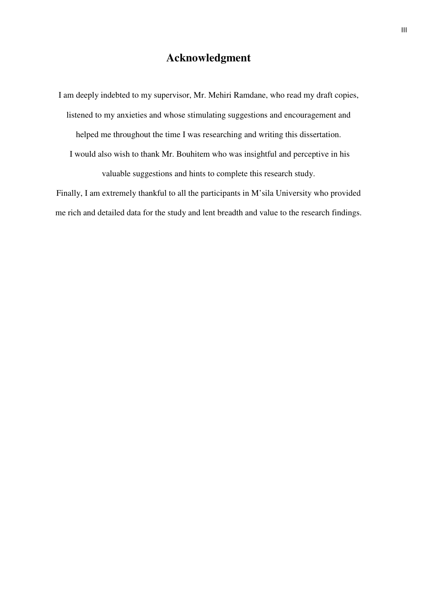## **Acknowledgment**

I am deeply indebted to my supervisor, Mr. Mehiri Ramdane, who read my draft copies, listened to my anxieties and whose stimulating suggestions and encouragement and helped me throughout the time I was researching and writing this dissertation. I would also wish to thank Mr. Bouhitem who was insightful and perceptive in his valuable suggestions and hints to complete this research study.

Finally, I am extremely thankful to all the participants in M'sila University who provided me rich and detailed data for the study and lent breadth and value to the research findings.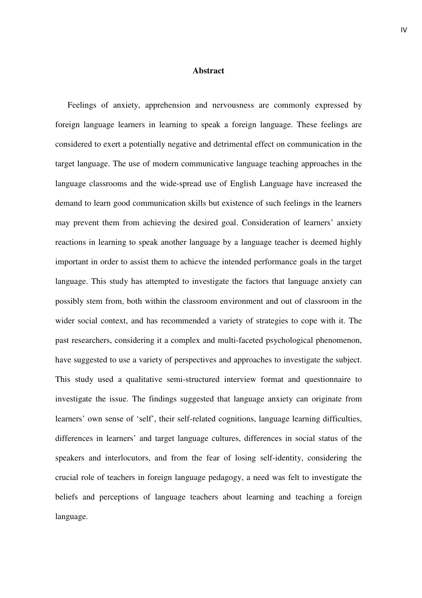#### **Abstract**

 Feelings of anxiety, apprehension and nervousness are commonly expressed by foreign language learners in learning to speak a foreign language. These feelings are considered to exert a potentially negative and detrimental effect on communication in the target language. The use of modern communicative language teaching approaches in the language classrooms and the wide-spread use of English Language have increased the demand to learn good communication skills but existence of such feelings in the learners may prevent them from achieving the desired goal. Consideration of learners' anxiety reactions in learning to speak another language by a language teacher is deemed highly important in order to assist them to achieve the intended performance goals in the target language. This study has attempted to investigate the factors that language anxiety can possibly stem from, both within the classroom environment and out of classroom in the wider social context, and has recommended a variety of strategies to cope with it. The past researchers, considering it a complex and multi-faceted psychological phenomenon, have suggested to use a variety of perspectives and approaches to investigate the subject. This study used a qualitative semi-structured interview format and questionnaire to investigate the issue. The findings suggested that language anxiety can originate from learners' own sense of 'self', their self-related cognitions, language learning difficulties, differences in learners' and target language cultures, differences in social status of the speakers and interlocutors, and from the fear of losing self-identity, considering the crucial role of teachers in foreign language pedagogy, a need was felt to investigate the beliefs and perceptions of language teachers about learning and teaching a foreign language.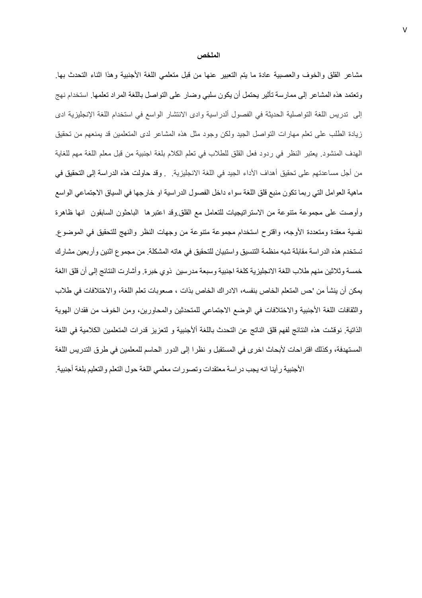#### الملخص

مشاعر القلق والخوف والعصبية عادة ما يتم التعبير عنها من قبل متعلمي اللغة الأجنبية وهذا اثناء التحدث بها وتعتمد هذه المشاعر إلى ممارسة تأثير يحتمل أن يكون سلبي وضىار على التواصل باللغة المراد تعلمها استخدام نهج إلى تدريس اللغة التواصلية الحديثة في الفصول ألدراسية وادى الانتشار الواسع في استخدام اللغة الإنجليزية ادى زيادة الطلب على نعلم مهارات التواصل الجيد ولكن وجود مثل هذه المشاعر لدى المتعلمين قد يمنعهم من تحقيق الهدف المنشود. يعتبر النظر في ردود فعل القلق للطلاب في تعلم الكلام بلغة اجنبية من قبل معلم اللغة مهم للغاية من أجل مساعدتهم على تحقيق أهداف الأداء الجيد في اللغة الانجليزية. وقد حاولت هذه الدراسة إلى التحقيق في ماهية العوامل التي ربما تكون منبع قلق اللغة سواء داخل الفصول الدراسية او خارجها في السياق الاجتماعي الواسع وأوصت على مجموعة متنوعة من الاستراتيجيات للتعامل مع القلق وقد اعتبرها الباحثون السابقون انـها ظـاهرة نفسية معقدة ومتعددة الأوجه، واقترح استخدام مجموعة متنوعة من وجهات النظر والنهج للتحقيق في الموضوع ِ تستخدم هذه الدر اسة مقابلة شبه منظمة التنسيق واستبيان للتحقيق في هاته المشكلة. من مجموع اثنين وأربعين مشارك خمسة وثلاثين منهم طلاب اللغة الانجليزية كلغة اجنبية وسبعة مدرسين ذوي خبرة وأشارت النتائج إلى أن قلق االغة يمكن أن ينشأ من 'حس المتعلم الخاص بنفسه، الادراك الخاص بذات ، صعوبات تعلم اللغة، والاختلافات في طلاب والثقافات اللغة الأجنبية والاختلافات في الوضع الاجتماعي للمتحدثين والمحاورين، ومن الخوف من فقدان الهوية الذاتية نوقشت هذه النتائج لفهم قلق الناتج عن التحدث باللغة ألأجنبية و لتعزيز قدرات المتعلمين الكلامية في اللغة المستهدفة، وكذلك اقتراحات لأبحاث اخرى في المستقبل و نظرا إلى الدور الحاسم للمعلمين في طرق التدريس اللغة الأجنبية رأينا انه يجب دراسة معتقدات وتصورات معلمي اللغة حول التعلم والتعليم بلغة أجنبية.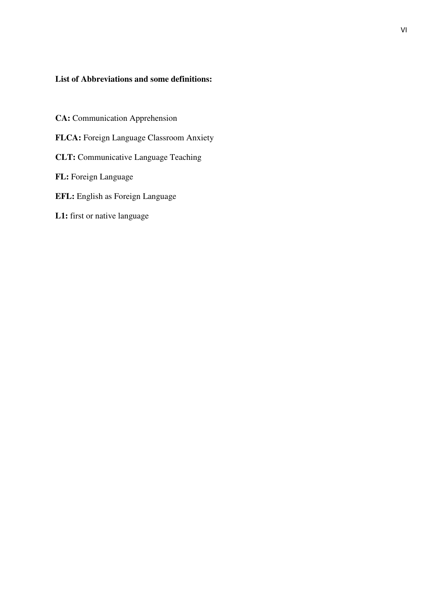### **List of Abbreviations and some definitions:**

- **CA:** Communication Apprehension
- **FLCA:** Foreign Language Classroom Anxiety
- **CLT:** Communicative Language Teaching
- **FL:** Foreign Language
- **EFL:** English as Foreign Language
- **L1:** first or native language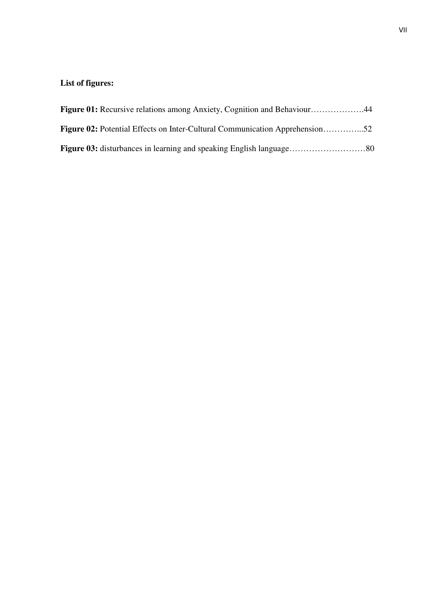## **List of figures:**

| <b>Figure 01:</b> Recursive relations among Anxiety, Cognition and Behaviour44     |  |
|------------------------------------------------------------------------------------|--|
| <b>Figure 02:</b> Potential Effects on Inter-Cultural Communication Apprehension52 |  |
|                                                                                    |  |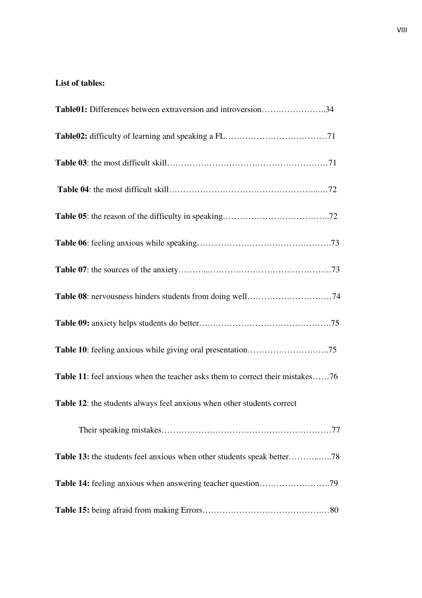### **List of tables:**

| <b>Table01:</b> Differences between extraversion and introversion34                  |
|--------------------------------------------------------------------------------------|
|                                                                                      |
|                                                                                      |
|                                                                                      |
|                                                                                      |
|                                                                                      |
|                                                                                      |
|                                                                                      |
|                                                                                      |
|                                                                                      |
| <b>Table 11:</b> feel anxious when the teacher asks them to correct their mistakes76 |
| Table 12: the students always feel anxious when other students correct               |
|                                                                                      |
|                                                                                      |
|                                                                                      |
|                                                                                      |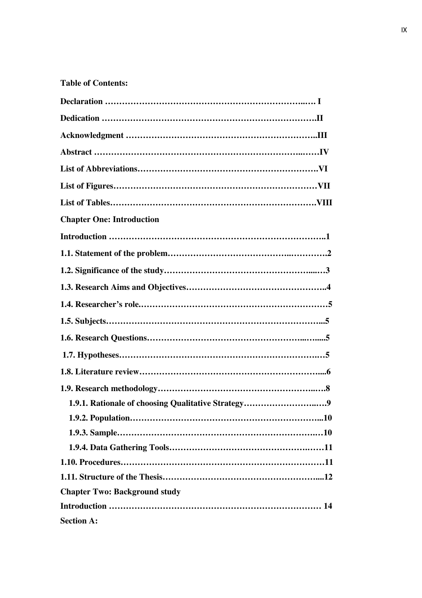## **Table of Contents:**

| <b>Chapter One: Introduction</b>                   |
|----------------------------------------------------|
|                                                    |
|                                                    |
|                                                    |
|                                                    |
|                                                    |
|                                                    |
|                                                    |
|                                                    |
|                                                    |
|                                                    |
|                                                    |
| 1.9.1. Rationale of choosing Qualitative Strategy9 |
|                                                    |
|                                                    |
|                                                    |
|                                                    |
|                                                    |
| <b>Chapter Two: Background study</b>               |
|                                                    |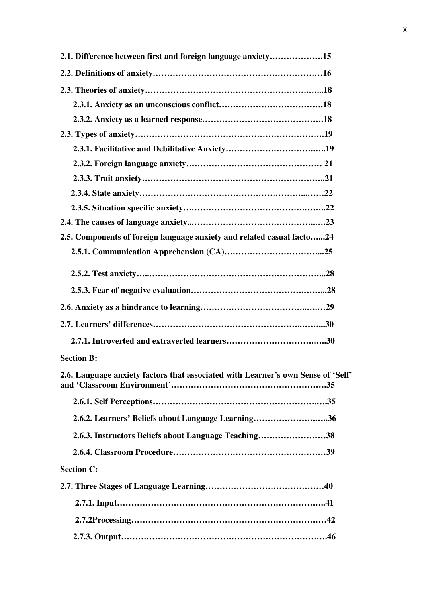| 2.1. Difference between first and foreign language anxiety15                     |  |
|----------------------------------------------------------------------------------|--|
|                                                                                  |  |
|                                                                                  |  |
|                                                                                  |  |
|                                                                                  |  |
|                                                                                  |  |
|                                                                                  |  |
|                                                                                  |  |
|                                                                                  |  |
|                                                                                  |  |
|                                                                                  |  |
|                                                                                  |  |
| 2.5. Components of foreign language anxiety and related casual facto24           |  |
|                                                                                  |  |
|                                                                                  |  |
|                                                                                  |  |
|                                                                                  |  |
|                                                                                  |  |
|                                                                                  |  |
| <b>Section B:</b>                                                                |  |
| 2.6. Language anxiety factors that associated with Learner's own Sense of 'Self' |  |
|                                                                                  |  |
| 2.6.2. Learners' Beliefs about Language Learning36                               |  |
| 2.6.3. Instructors Beliefs about Language Teaching38                             |  |
|                                                                                  |  |
| <b>Section C:</b>                                                                |  |
|                                                                                  |  |
|                                                                                  |  |
|                                                                                  |  |
|                                                                                  |  |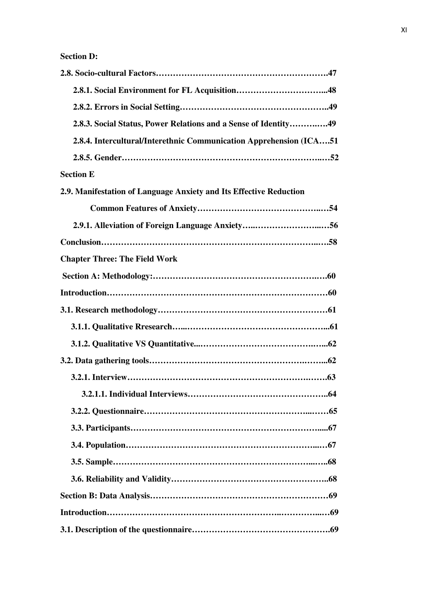| 2.8.3. Social Status, Power Relations and a Sense of Identity49     |
|---------------------------------------------------------------------|
| 2.8.4. Intercultural/Interethnic Communication Apprehension (ICA51) |
|                                                                     |
| <b>Section E</b>                                                    |
| 2.9. Manifestation of Language Anxiety and Its Effective Reduction  |
|                                                                     |
| 2.9.1. Alleviation of Foreign Language Anxiety56                    |
|                                                                     |
| <b>Chapter Three: The Field Work</b>                                |
|                                                                     |
|                                                                     |
|                                                                     |
|                                                                     |
|                                                                     |
|                                                                     |
|                                                                     |
|                                                                     |
|                                                                     |
|                                                                     |
|                                                                     |
|                                                                     |
|                                                                     |
|                                                                     |
|                                                                     |
|                                                                     |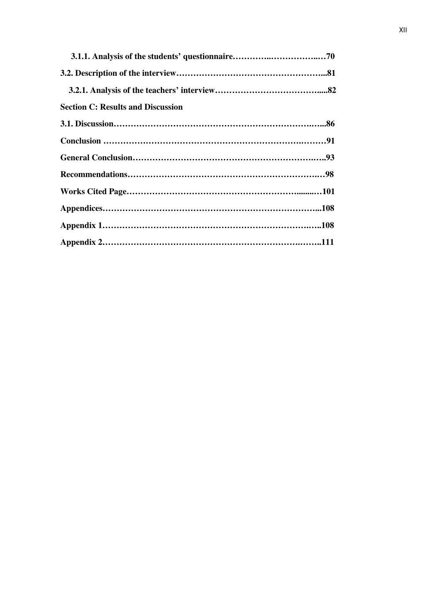| <b>Section C: Results and Discussion</b> |  |
|------------------------------------------|--|
|                                          |  |
|                                          |  |
|                                          |  |
|                                          |  |
|                                          |  |
|                                          |  |
|                                          |  |
|                                          |  |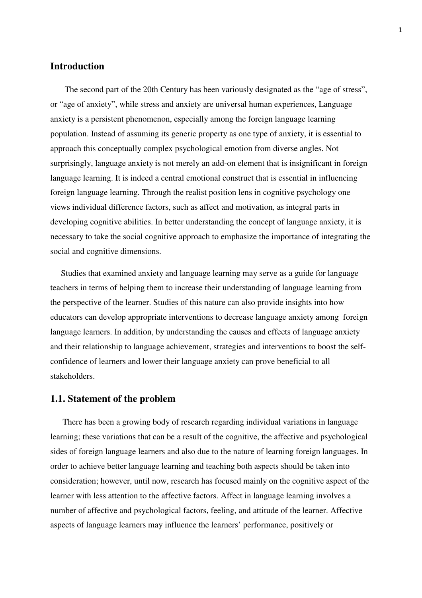### **Introduction**

The second part of the 20th Century has been variously designated as the "age of stress", or "age of anxiety", while stress and anxiety are universal human experiences, Language anxiety is a persistent phenomenon, especially among the foreign language learning population. Instead of assuming its generic property as one type of anxiety, it is essential to approach this conceptually complex psychological emotion from diverse angles. Not surprisingly, language anxiety is not merely an add-on element that is insignificant in foreign language learning. It is indeed a central emotional construct that is essential in influencing foreign language learning. Through the realist position lens in cognitive psychology one views individual difference factors, such as affect and motivation, as integral parts in developing cognitive abilities. In better understanding the concept of language anxiety, it is necessary to take the social cognitive approach to emphasize the importance of integrating the social and cognitive dimensions.

 Studies that examined anxiety and language learning may serve as a guide for language teachers in terms of helping them to increase their understanding of language learning from the perspective of the learner. Studies of this nature can also provide insights into how educators can develop appropriate interventions to decrease language anxiety among foreign language learners. In addition, by understanding the causes and effects of language anxiety and their relationship to language achievement, strategies and interventions to boost the selfconfidence of learners and lower their language anxiety can prove beneficial to all stakeholders.

#### **1.1. Statement of the problem**

There has been a growing body of research regarding individual variations in language learning; these variations that can be a result of the cognitive, the affective and psychological sides of foreign language learners and also due to the nature of learning foreign languages. In order to achieve better language learning and teaching both aspects should be taken into consideration; however, until now, research has focused mainly on the cognitive aspect of the learner with less attention to the affective factors. Affect in language learning involves a number of affective and psychological factors, feeling, and attitude of the learner. Affective aspects of language learners may influence the learners' performance, positively or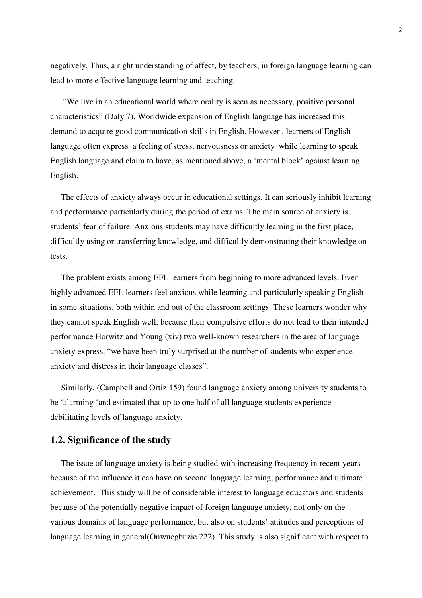negatively. Thus, a right understanding of affect, by teachers, in foreign language learning can lead to more effective language learning and teaching.

 "We live in an educational world where orality is seen as necessary, positive personal characteristics" (Daly 7). Worldwide expansion of English language has increased this demand to acquire good communication skills in English. However , learners of English language often express a feeling of stress, nervousness or anxiety while learning to speak English language and claim to have, as mentioned above, a 'mental block' against learning English.

 The effects of anxiety always occur in educational settings. It can seriously inhibit learning and performance particularly during the period of exams. The main source of anxiety is students' fear of failure. Anxious students may have difficultly learning in the first place, difficultly using or transferring knowledge, and difficultly demonstrating their knowledge on tests.

 The problem exists among EFL learners from beginning to more advanced levels. Even highly advanced EFL learners feel anxious while learning and particularly speaking English in some situations, both within and out of the classroom settings. These learners wonder why they cannot speak English well, because their compulsive efforts do not lead to their intended performance Horwitz and Young (xiv) two well-known researchers in the area of language anxiety express, "we have been truly surprised at the number of students who experience anxiety and distress in their language classes".

 Similarly, (Campbell and Ortiz 159) found language anxiety among university students to be 'alarming 'and estimated that up to one half of all language students experience debilitating levels of language anxiety.

### **1.2. Significance of the study**

 The issue of language anxiety is being studied with increasing frequency in recent years because of the influence it can have on second language learning, performance and ultimate achievement. This study will be of considerable interest to language educators and students because of the potentially negative impact of foreign language anxiety, not only on the various domains of language performance, but also on students' attitudes and perceptions of language learning in general(Onwuegbuzie 222). This study is also significant with respect to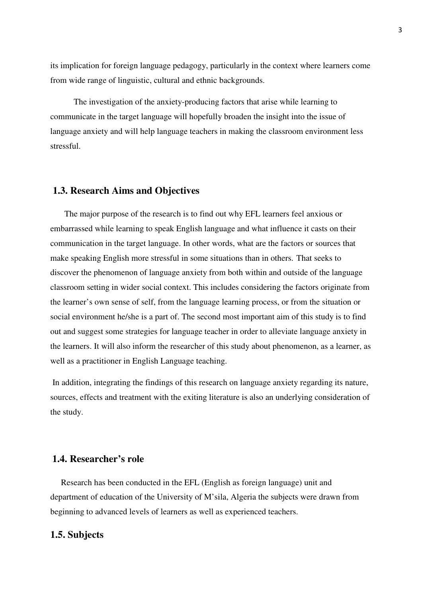its implication for foreign language pedagogy, particularly in the context where learners come from wide range of linguistic, cultural and ethnic backgrounds.

 The investigation of the anxiety-producing factors that arise while learning to communicate in the target language will hopefully broaden the insight into the issue of language anxiety and will help language teachers in making the classroom environment less stressful.

#### **1.3. Research Aims and Objectives**

The major purpose of the research is to find out why EFL learners feel anxious or embarrassed while learning to speak English language and what influence it casts on their communication in the target language. In other words, what are the factors or sources that make speaking English more stressful in some situations than in others. That seeks to discover the phenomenon of language anxiety from both within and outside of the language classroom setting in wider social context. This includes considering the factors originate from the learner's own sense of self, from the language learning process, or from the situation or social environment he/she is a part of. The second most important aim of this study is to find out and suggest some strategies for language teacher in order to alleviate language anxiety in the learners. It will also inform the researcher of this study about phenomenon, as a learner, as well as a practitioner in English Language teaching.

 In addition, integrating the findings of this research on language anxiety regarding its nature, sources, effects and treatment with the exiting literature is also an underlying consideration of the study.

### **1.4. Researcher's role**

 Research has been conducted in the EFL (English as foreign language) unit and department of education of the University of M'sila, Algeria the subjects were drawn from beginning to advanced levels of learners as well as experienced teachers.

#### **1.5. Subjects**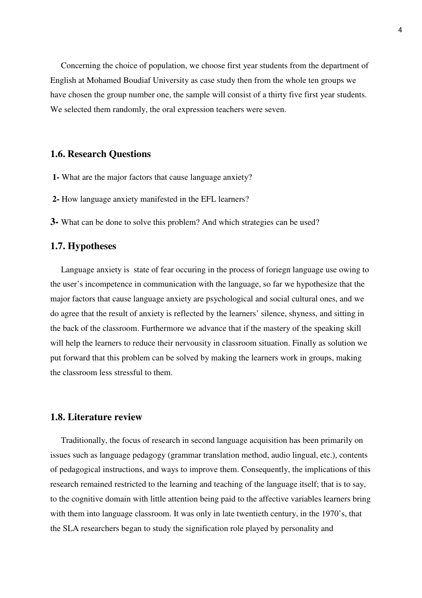Concerning the choice of population, we choose first year students from the department of English at Mohamed Boudiaf University as case study then from the whole ten groups we have chosen the group number one, the sample will consist of a thirty five first year students. We selected them randomly, the oral expression teachers were seven.

### **1.6. Research Questions**

- **1-** What are the major factors that cause language anxiety?
- **2-** How language anxiety manifested in the EFL learners?
- **3-** What can be done to solve this problem? And which strategies can be used?

### **1.7. Hypotheses**

 Language anxiety is state of fear occuring in the process of foriegn language use owing to the user's incompetence in communication with the language, so far we hypothesize that the major factors that cause language anxiety are psychological and social cultural ones, and we do agree that the result of anxiety is reflected by the learners' silence, shyness, and sitting in the back of the classroom. Furthermore we advance that if the mastery of the speaking skill will help the learners to reduce their nervousity in classroom situation. Finally as solution we put forward that this problem can be solved by making the learners work in groups, making the classroom less stressful to them.

#### **1.8. Literature review**

 Traditionally, the focus of research in second language acquisition has been primarily on issues such as language pedagogy (grammar translation method, audio lingual, etc.), contents of pedagogical instructions, and ways to improve them. Consequently, the implications of this research remained restricted to the learning and teaching of the language itself; that is to say, to the cognitive domain with little attention being paid to the affective variables learners bring with them into language classroom. It was only in late twentieth century, in the 1970's, that the SLA researchers began to study the signification role played by personality and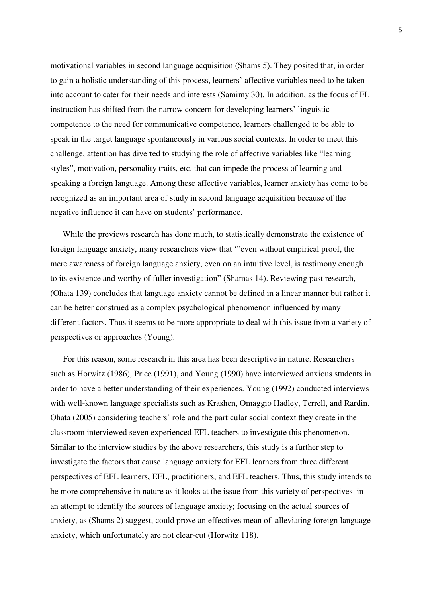motivational variables in second language acquisition (Shams 5). They posited that, in order to gain a holistic understanding of this process, learners' affective variables need to be taken into account to cater for their needs and interests (Samimy 30). In addition, as the focus of FL instruction has shifted from the narrow concern for developing learners' linguistic competence to the need for communicative competence, learners challenged to be able to speak in the target language spontaneously in various social contexts. In order to meet this challenge, attention has diverted to studying the role of affective variables like "learning styles", motivation, personality traits, etc. that can impede the process of learning and speaking a foreign language. Among these affective variables, learner anxiety has come to be recognized as an important area of study in second language acquisition because of the negative influence it can have on students' performance.

While the previews research has done much, to statistically demonstrate the existence of foreign language anxiety, many researchers view that '"even without empirical proof, the mere awareness of foreign language anxiety, even on an intuitive level, is testimony enough to its existence and worthy of fuller investigation" (Shamas 14). Reviewing past research, (Ohata 139) concludes that language anxiety cannot be defined in a linear manner but rather it can be better construed as a complex psychological phenomenon influenced by many different factors. Thus it seems to be more appropriate to deal with this issue from a variety of perspectives or approaches (Young).

 For this reason, some research in this area has been descriptive in nature. Researchers such as Horwitz (1986), Price (1991), and Young (1990) have interviewed anxious students in order to have a better understanding of their experiences. Young (1992) conducted interviews with well-known language specialists such as Krashen, Omaggio Hadley, Terrell, and Rardin. Ohata (2005) considering teachers' role and the particular social context they create in the classroom interviewed seven experienced EFL teachers to investigate this phenomenon. Similar to the interview studies by the above researchers, this study is a further step to investigate the factors that cause language anxiety for EFL learners from three different perspectives of EFL learners, EFL, practitioners, and EFL teachers. Thus, this study intends to be more comprehensive in nature as it looks at the issue from this variety of perspectives in an attempt to identify the sources of language anxiety; focusing on the actual sources of anxiety, as (Shams 2) suggest, could prove an effectives mean of alleviating foreign language anxiety, which unfortunately are not clear-cut (Horwitz 118).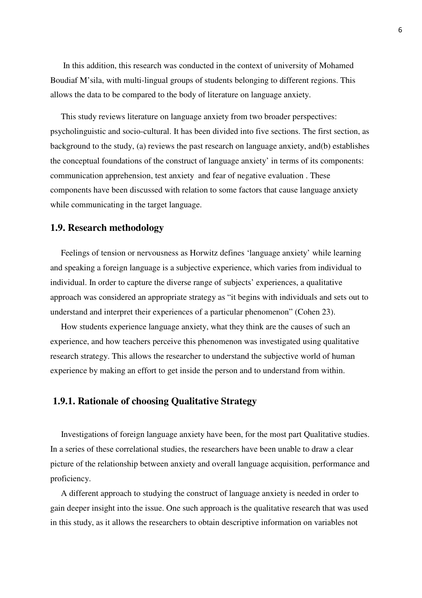In this addition, this research was conducted in the context of university of Mohamed Boudiaf M'sila, with multi-lingual groups of students belonging to different regions. This allows the data to be compared to the body of literature on language anxiety.

 This study reviews literature on language anxiety from two broader perspectives: psycholinguistic and socio-cultural. It has been divided into five sections. The first section, as background to the study, (a) reviews the past research on language anxiety, and(b) establishes the conceptual foundations of the construct of language anxiety' in terms of its components: communication apprehension, test anxiety and fear of negative evaluation . These components have been discussed with relation to some factors that cause language anxiety while communicating in the target language.

### **1.9. Research methodology**

 Feelings of tension or nervousness as Horwitz defines 'language anxiety' while learning and speaking a foreign language is a subjective experience, which varies from individual to individual. In order to capture the diverse range of subjects' experiences, a qualitative approach was considered an appropriate strategy as "it begins with individuals and sets out to understand and interpret their experiences of a particular phenomenon" (Cohen 23).

 How students experience language anxiety, what they think are the causes of such an experience, and how teachers perceive this phenomenon was investigated using qualitative research strategy. This allows the researcher to understand the subjective world of human experience by making an effort to get inside the person and to understand from within.

### **1.9.1. Rationale of choosing Qualitative Strategy**

 Investigations of foreign language anxiety have been, for the most part Qualitative studies. In a series of these correlational studies, the researchers have been unable to draw a clear picture of the relationship between anxiety and overall language acquisition, performance and proficiency.

 A different approach to studying the construct of language anxiety is needed in order to gain deeper insight into the issue. One such approach is the qualitative research that was used in this study, as it allows the researchers to obtain descriptive information on variables not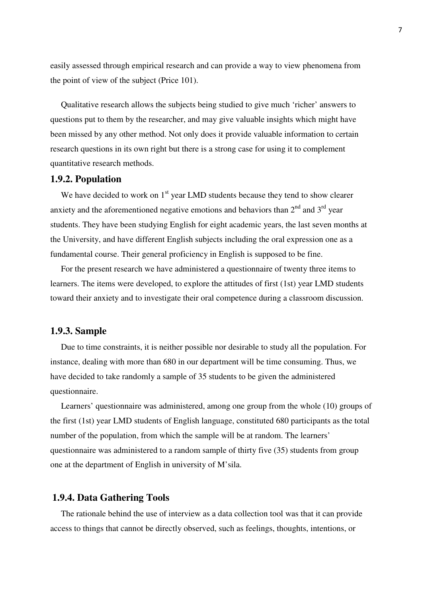easily assessed through empirical research and can provide a way to view phenomena from the point of view of the subject (Price 101).

 Qualitative research allows the subjects being studied to give much 'richer' answers to questions put to them by the researcher, and may give valuable insights which might have been missed by any other method. Not only does it provide valuable information to certain research questions in its own right but there is a strong case for using it to complement quantitative research methods.

#### **1.9.2. Population**

We have decided to work on  $1<sup>st</sup>$  year LMD students because they tend to show clearer anxiety and the aforementioned negative emotions and behaviors than  $2<sup>nd</sup>$  and  $3<sup>rd</sup>$  year students. They have been studying English for eight academic years, the last seven months at the University, and have different English subjects including the oral expression one as a fundamental course. Their general proficiency in English is supposed to be fine.

 For the present research we have administered a questionnaire of twenty three items to learners. The items were developed, to explore the attitudes of first (1st) year LMD students toward their anxiety and to investigate their oral competence during a classroom discussion.

#### **1.9.3. Sample**

 Due to time constraints, it is neither possible nor desirable to study all the population. For instance, dealing with more than 680 in our department will be time consuming. Thus, we have decided to take randomly a sample of 35 students to be given the administered questionnaire.

 Learners' questionnaire was administered, among one group from the whole (10) groups of the first (1st) year LMD students of English language, constituted 680 participants as the total number of the population, from which the sample will be at random. The learners' questionnaire was administered to a random sample of thirty five (35) students from group one at the department of English in university of M'sila.

#### **1.9.4. Data Gathering Tools**

 The rationale behind the use of interview as a data collection tool was that it can provide access to things that cannot be directly observed, such as feelings, thoughts, intentions, or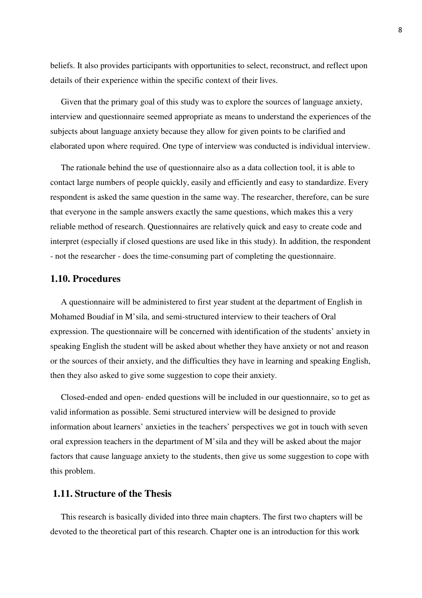beliefs. It also provides participants with opportunities to select, reconstruct, and reflect upon details of their experience within the specific context of their lives.

 Given that the primary goal of this study was to explore the sources of language anxiety, interview and questionnaire seemed appropriate as means to understand the experiences of the subjects about language anxiety because they allow for given points to be clarified and elaborated upon where required. One type of interview was conducted is individual interview.

 The rationale behind the use of questionnaire also as a data collection tool, it is able to contact large numbers of people quickly, easily and efficiently and easy to standardize. Every respondent is asked the same question in the same way. The researcher, therefore, can be sure that everyone in the sample answers exactly the same questions, which makes this a very reliable method of research. Questionnaires are relatively quick and easy to create code and interpret (especially if closed questions are used like in this study). In addition, the respondent - not the researcher - does the time-consuming part of completing the questionnaire.

### **1.10. Procedures**

 A questionnaire will be administered to first year student at the department of English in Mohamed Boudiaf in M'sila, and semi-structured interview to their teachers of Oral expression. The questionnaire will be concerned with identification of the students' anxiety in speaking English the student will be asked about whether they have anxiety or not and reason or the sources of their anxiety, and the difficulties they have in learning and speaking English, then they also asked to give some suggestion to cope their anxiety.

 Closed-ended and open- ended questions will be included in our questionnaire, so to get as valid information as possible. Semi structured interview will be designed to provide information about learners' anxieties in the teachers' perspectives we got in touch with seven oral expression teachers in the department of M'sila and they will be asked about the major factors that cause language anxiety to the students, then give us some suggestion to cope with this problem.

### **1.11. Structure of the Thesis**

 This research is basically divided into three main chapters. The first two chapters will be devoted to the theoretical part of this research. Chapter one is an introduction for this work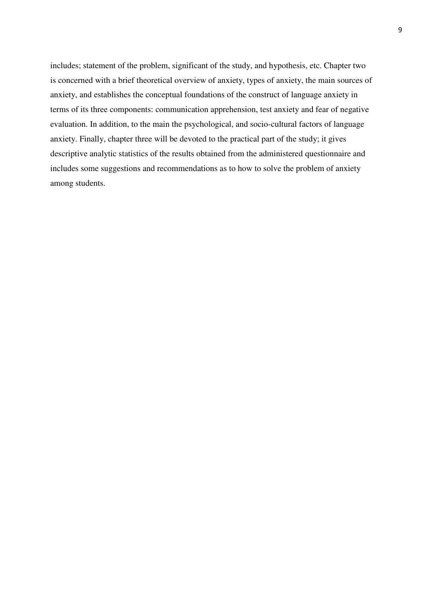includes; statement of the problem, significant of the study, and hypothesis, etc. Chapter two is concerned with a brief theoretical overview of anxiety, types of anxiety, the main sources of anxiety, and establishes the conceptual foundations of the construct of language anxiety in terms of its three components: communication apprehension, test anxiety and fear of negative evaluation. In addition, to the main the psychological, and socio-cultural factors of language anxiety. Finally, chapter three will be devoted to the practical part of the study; it gives descriptive analytic statistics of the results obtained from the administered questionnaire and includes some suggestions and recommendations as to how to solve the problem of anxiety among students.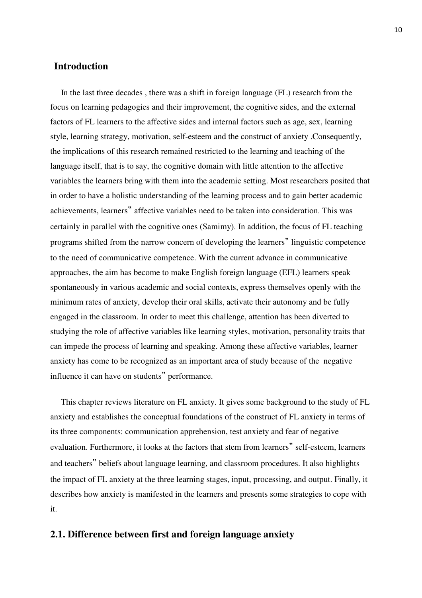### **Introduction**

 In the last three decades , there was a shift in foreign language (FL) research from the focus on learning pedagogies and their improvement, the cognitive sides, and the external factors of FL learners to the affective sides and internal factors such as age, sex, learning style, learning strategy, motivation, self-esteem and the construct of anxiety .Consequently, the implications of this research remained restricted to the learning and teaching of the language itself, that is to say, the cognitive domain with little attention to the affective variables the learners bring with them into the academic setting. Most researchers posited that in order to have a holistic understanding of the learning process and to gain better academic achievements, learners" affective variables need to be taken into consideration. This was certainly in parallel with the cognitive ones (Samimy). In addition, the focus of FL teaching programs shifted from the narrow concern of developing the learners" linguistic competence to the need of communicative competence. With the current advance in communicative approaches, the aim has become to make English foreign language (EFL) learners speak spontaneously in various academic and social contexts, express themselves openly with the minimum rates of anxiety, develop their oral skills, activate their autonomy and be fully engaged in the classroom. In order to meet this challenge, attention has been diverted to studying the role of affective variables like learning styles, motivation, personality traits that can impede the process of learning and speaking. Among these affective variables, learner anxiety has come to be recognized as an important area of study because of the negative influence it can have on students" performance.

 This chapter reviews literature on FL anxiety. It gives some background to the study of FL anxiety and establishes the conceptual foundations of the construct of FL anxiety in terms of its three components: communication apprehension, test anxiety and fear of negative evaluation. Furthermore, it looks at the factors that stem from learners" self-esteem, learners and teachers" beliefs about language learning, and classroom procedures. It also highlights the impact of FL anxiety at the three learning stages, input, processing, and output. Finally, it describes how anxiety is manifested in the learners and presents some strategies to cope with it.

### **2.1. Difference between first and foreign language anxiety**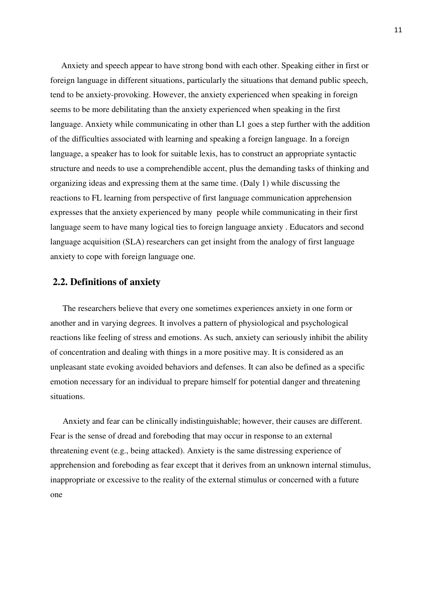Anxiety and speech appear to have strong bond with each other. Speaking either in first or foreign language in different situations, particularly the situations that demand public speech, tend to be anxiety-provoking. However, the anxiety experienced when speaking in foreign seems to be more debilitating than the anxiety experienced when speaking in the first language. Anxiety while communicating in other than L1 goes a step further with the addition of the difficulties associated with learning and speaking a foreign language. In a foreign language, a speaker has to look for suitable lexis, has to construct an appropriate syntactic structure and needs to use a comprehendible accent, plus the demanding tasks of thinking and organizing ideas and expressing them at the same time. (Daly 1) while discussing the reactions to FL learning from perspective of first language communication apprehension expresses that the anxiety experienced by many people while communicating in their first language seem to have many logical ties to foreign language anxiety . Educators and second language acquisition (SLA) researchers can get insight from the analogy of first language anxiety to cope with foreign language one.

#### **2.2. Definitions of anxiety**

The researchers believe that every one sometimes experiences anxiety in one form or another and in varying degrees. It involves a pattern of physiological and psychological reactions like feeling of stress and emotions. As such, anxiety can seriously inhibit the ability of concentration and dealing with things in a more positive may. It is considered as an unpleasant state evoking avoided behaviors and defenses. It can also be defined as a specific emotion necessary for an individual to prepare himself for potential danger and threatening situations.

Anxiety and fear can be clinically indistinguishable; however, their causes are different. Fear is the sense of dread and foreboding that may occur in response to an external threatening event (e.g., being attacked). Anxiety is the same distressing experience of apprehension and foreboding as fear except that it derives from an unknown internal stimulus, inappropriate or excessive to the reality of the external stimulus or concerned with a future one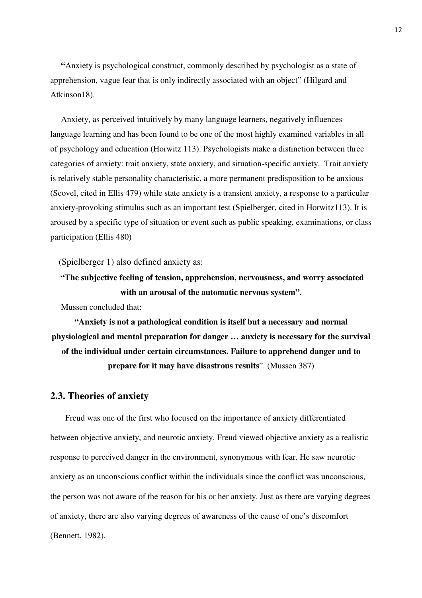**"**Anxiety is psychological construct, commonly described by psychologist as a state of apprehension, vague fear that is only indirectly associated with an object" (Hilgard and Atkinson18).

 Anxiety, as perceived intuitively by many language learners, negatively influences language learning and has been found to be one of the most highly examined variables in all of psychology and education (Horwitz 113). Psychologists make a distinction between three categories of anxiety: trait anxiety, state anxiety, and situation-specific anxiety. Trait anxiety is relatively stable personality characteristic, a more permanent predisposition to be anxious (Scovel, cited in Ellis 479) while state anxiety is a transient anxiety, a response to a particular anxiety-provoking stimulus such as an important test (Spielberger, cited in Horwitz113). It is aroused by a specific type of situation or event such as public speaking, examinations, or class participation (Ellis 480)

(Spielberger 1) also defined anxiety as:

```
 "The subjective feeling of tension, apprehension, nervousness, and worry associated 
    with an arousal of the automatic nervous system".
```
**Mussen concluded that:** 

**"Anxiety is not a pathological condition is itself but a necessary and normal physiological and mental preparation for danger … anxiety is necessary for the survival of the individual under certain circumstances. Failure to apprehend danger and to prepare for it may have disastrous results**". (Mussen 387)

### **2.3. Theories of anxiety**

Freud was one of the first who focused on the importance of anxiety differentiated between objective anxiety, and neurotic anxiety. Freud viewed objective anxiety as a realistic response to perceived danger in the environment, synonymous with fear. He saw neurotic anxiety as an unconscious conflict within the individuals since the conflict was unconscious, the person was not aware of the reason for his or her anxiety. Just as there are varying degrees of anxiety, there are also varying degrees of awareness of the cause of one's discomfort (Bennett, 1982).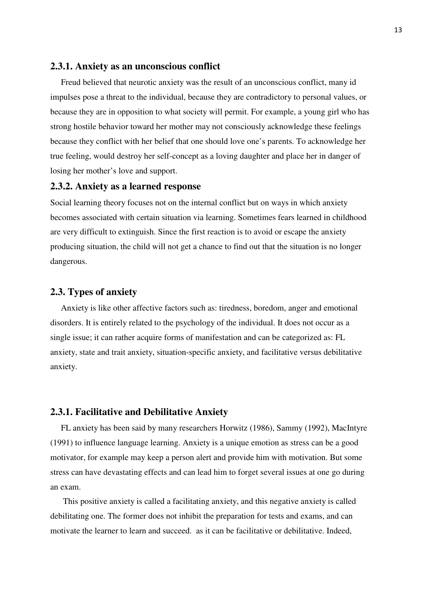#### **2.3.1. Anxiety as an unconscious conflict**

 Freud believed that neurotic anxiety was the result of an unconscious conflict, many id impulses pose a threat to the individual, because they are contradictory to personal values, or because they are in opposition to what society will permit. For example, a young girl who has strong hostile behavior toward her mother may not consciously acknowledge these feelings because they conflict with her belief that one should love one's parents. To acknowledge her true feeling, would destroy her self-concept as a loving daughter and place her in danger of losing her mother's love and support.

#### **2.3.2. Anxiety as a learned response**

Social learning theory focuses not on the internal conflict but on ways in which anxiety becomes associated with certain situation via learning. Sometimes fears learned in childhood are very difficult to extinguish. Since the first reaction is to avoid or escape the anxiety producing situation, the child will not get a chance to find out that the situation is no longer dangerous.

### **2.3. Types of anxiety**

Anxiety is like other affective factors such as: tiredness, boredom, anger and emotional disorders. It is entirely related to the psychology of the individual. It does not occur as a single issue; it can rather acquire forms of manifestation and can be categorized as: FL anxiety, state and trait anxiety, situation-specific anxiety, and facilitative versus debilitative anxiety.

#### **2.3.1. Facilitative and Debilitative Anxiety**

 FL anxiety has been said by many researchers Horwitz (1986), Sammy (1992), MacIntyre (1991) to influence language learning. Anxiety is a unique emotion as stress can be a good motivator, for example may keep a person alert and provide him with motivation. But some stress can have devastating effects and can lead him to forget several issues at one go during an exam.

 This positive anxiety is called a facilitating anxiety, and this negative anxiety is called debilitating one. The former does not inhibit the preparation for tests and exams, and can motivate the learner to learn and succeed. as it can be facilitative or debilitative. Indeed,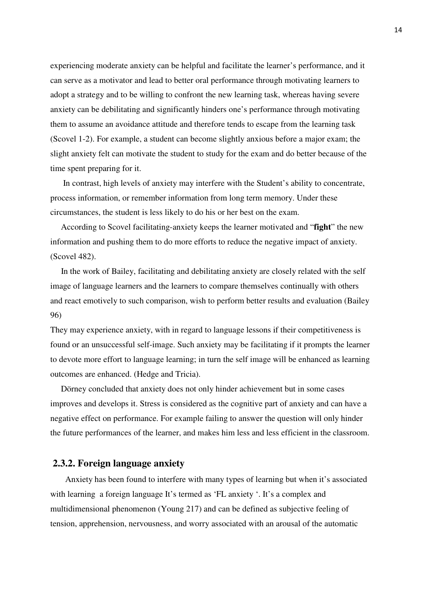experiencing moderate anxiety can be helpful and facilitate the learner's performance, and it can serve as a motivator and lead to better oral performance through motivating learners to adopt a strategy and to be willing to confront the new learning task, whereas having severe anxiety can be debilitating and significantly hinders one's performance through motivating them to assume an avoidance attitude and therefore tends to escape from the learning task (Scovel 1-2). For example, a student can become slightly anxious before a major exam; the slight anxiety felt can motivate the student to study for the exam and do better because of the time spent preparing for it.

 In contrast, high levels of anxiety may interfere with the Student's ability to concentrate, process information, or remember information from long term memory. Under these circumstances, the student is less likely to do his or her best on the exam.

 According to Scovel facilitating-anxiety keeps the learner motivated and "**fight**" the new information and pushing them to do more efforts to reduce the negative impact of anxiety. (Scovel 482).

 In the work of Bailey, facilitating and debilitating anxiety are closely related with the self image of language learners and the learners to compare themselves continually with others and react emotively to such comparison, wish to perform better results and evaluation (Bailey 96)

They may experience anxiety, with in regard to language lessons if their competitiveness is found or an unsuccessful self-image. Such anxiety may be facilitating if it prompts the learner to devote more effort to language learning; in turn the self image will be enhanced as learning outcomes are enhanced. (Hedge and Tricia).

 Dörney concluded that anxiety does not only hinder achievement but in some cases improves and develops it. Stress is considered as the cognitive part of anxiety and can have a negative effect on performance. For example failing to answer the question will only hinder the future performances of the learner, and makes him less and less efficient in the classroom.

### **2.3.2. Foreign language anxiety**

 Anxiety has been found to interfere with many types of learning but when it's associated with learning a foreign language It's termed as 'FL anxiety'. It's a complex and multidimensional phenomenon (Young 217) and can be defined as subjective feeling of tension, apprehension, nervousness, and worry associated with an arousal of the automatic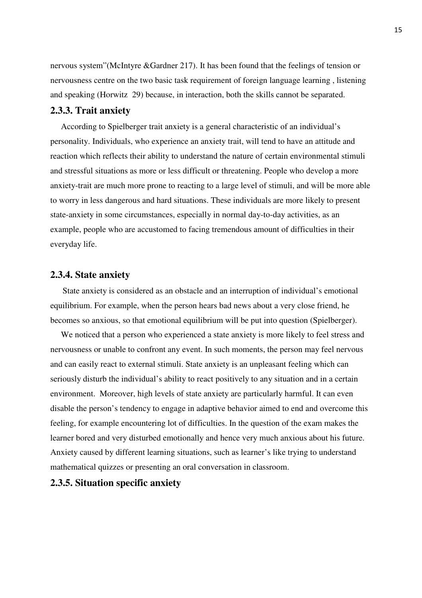nervous system"(McIntyre &Gardner 217). It has been found that the feelings of tension or nervousness centre on the two basic task requirement of foreign language learning , listening and speaking (Horwitz 29) because, in interaction, both the skills cannot be separated.

#### **2.3.3. Trait anxiety**

According to Spielberger trait anxiety is a general characteristic of an individual's personality. Individuals, who experience an anxiety trait, will tend to have an attitude and reaction which reflects their ability to understand the nature of certain environmental stimuli and stressful situations as more or less difficult or threatening. People who develop a more anxiety-trait are much more prone to reacting to a large level of stimuli, and will be more able to worry in less dangerous and hard situations. These individuals are more likely to present state-anxiety in some circumstances, especially in normal day-to-day activities, as an example, people who are accustomed to facing tremendous amount of difficulties in their everyday life.

#### **2.3.4. State anxiety**

State anxiety is considered as an obstacle and an interruption of individual's emotional equilibrium. For example, when the person hears bad news about a very close friend, he becomes so anxious, so that emotional equilibrium will be put into question (Spielberger).

 We noticed that a person who experienced a state anxiety is more likely to feel stress and nervousness or unable to confront any event. In such moments, the person may feel nervous and can easily react to external stimuli. State anxiety is an unpleasant feeling which can seriously disturb the individual's ability to react positively to any situation and in a certain environment. Moreover, high levels of state anxiety are particularly harmful. It can even disable the person's tendency to engage in adaptive behavior aimed to end and overcome this feeling, for example encountering lot of difficulties. In the question of the exam makes the learner bored and very disturbed emotionally and hence very much anxious about his future. Anxiety caused by different learning situations, such as learner's like trying to understand mathematical quizzes or presenting an oral conversation in classroom.

#### **2.3.5. Situation specific anxiety**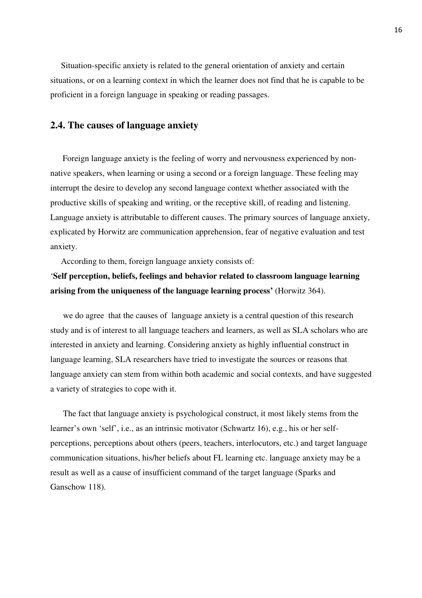Situation-specific anxiety is related to the general orientation of anxiety and certain situations, or on a learning context in which the learner does not find that he is capable to be proficient in a foreign language in speaking or reading passages.

### **2.4. The causes of language anxiety**

Foreign language anxiety is the feeling of worry and nervousness experienced by nonnative speakers, when learning or using a second or a foreign language. These feeling may interrupt the desire to develop any second language context whether associated with the productive skills of speaking and writing, or the receptive skill, of reading and listening. Language anxiety is attributable to different causes. The primary sources of language anxiety, explicated by Horwitz are communication apprehension, fear of negative evaluation and test anxiety.

According to them, foreign language anxiety consists of:

## '**Self perception, beliefs, feelings and behavior related to classroom language learning arising from the uniqueness of the language learning process'** (Horwitz 364).

we do agree that the causes of language anxiety is a central question of this research study and is of interest to all language teachers and learners, as well as SLA scholars who are interested in anxiety and learning. Considering anxiety as highly influential construct in language learning, SLA researchers have tried to investigate the sources or reasons that language anxiety can stem from within both academic and social contexts, and have suggested a variety of strategies to cope with it.

 The fact that language anxiety is psychological construct, it most likely stems from the learner's own 'self', i.e., as an intrinsic motivator (Schwartz 16), e.g., his or her selfperceptions, perceptions about others (peers, teachers, interlocutors, etc.) and target language communication situations, his/her beliefs about FL learning etc. language anxiety may be a result as well as a cause of insufficient command of the target language (Sparks and Ganschow 118).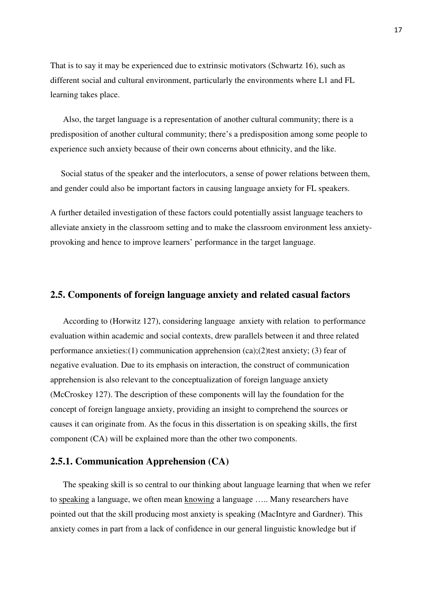That is to say it may be experienced due to extrinsic motivators (Schwartz 16), such as different social and cultural environment, particularly the environments where L1 and FL learning takes place.

 Also, the target language is a representation of another cultural community; there is a predisposition of another cultural community; there's a predisposition among some people to experience such anxiety because of their own concerns about ethnicity, and the like.

 Social status of the speaker and the interlocutors, a sense of power relations between them, and gender could also be important factors in causing language anxiety for FL speakers.

A further detailed investigation of these factors could potentially assist language teachers to alleviate anxiety in the classroom setting and to make the classroom environment less anxietyprovoking and hence to improve learners' performance in the target language.

### **2.5. Components of foreign language anxiety and related casual factors**

 According to (Horwitz 127), considering language anxiety with relation to performance evaluation within academic and social contexts, drew parallels between it and three related performance anxieties:(1) communication apprehension  $(ca)$ ;(2)test anxiety; (3) fear of negative evaluation. Due to its emphasis on interaction, the construct of communication apprehension is also relevant to the conceptualization of foreign language anxiety (McCroskey 127). The description of these components will lay the foundation for the concept of foreign language anxiety, providing an insight to comprehend the sources or causes it can originate from. As the focus in this dissertation is on speaking skills, the first component (CA) will be explained more than the other two components.

#### **2.5.1. Communication Apprehension (CA)**

 The speaking skill is so central to our thinking about language learning that when we refer to speaking a language, we often mean knowin*g* a language ….. Many researchers have pointed out that the skill producing most anxiety is speaking (MacIntyre and Gardner). This anxiety comes in part from a lack of confidence in our general linguistic knowledge but if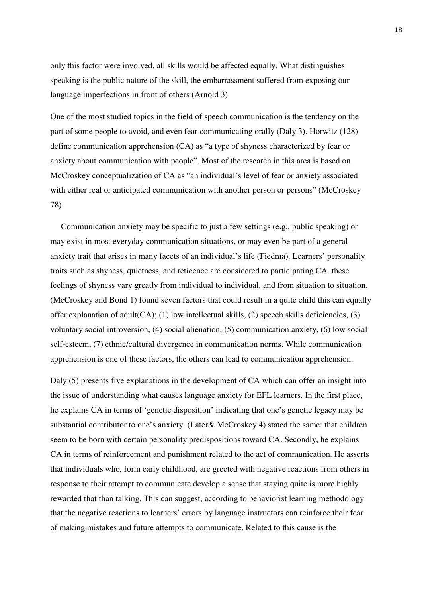only this factor were involved, all skills would be affected equally. What distinguishes speaking is the public nature of the skill, the embarrassment suffered from exposing our language imperfections in front of others (Arnold 3)

One of the most studied topics in the field of speech communication is the tendency on the part of some people to avoid, and even fear communicating orally (Daly 3). Horwitz (128) define communication apprehension (CA) as "a type of shyness characterized by fear or anxiety about communication with people". Most of the research in this area is based on McCroskey conceptualization of CA as "an individual's level of fear or anxiety associated with either real or anticipated communication with another person or persons" (McCroskey 78).

 Communication anxiety may be specific to just a few settings (e.g., public speaking) or may exist in most everyday communication situations, or may even be part of a general anxiety trait that arises in many facets of an individual's life (Fiedma). Learners' personality traits such as shyness, quietness, and reticence are considered to participating CA. these feelings of shyness vary greatly from individual to individual, and from situation to situation. (McCroskey and Bond 1) found seven factors that could result in a quite child this can equally offer explanation of adult(CA); (1) low intellectual skills, (2) speech skills deficiencies, (3) voluntary social introversion, (4) social alienation, (5) communication anxiety, (6) low social self-esteem, (7) ethnic/cultural divergence in communication norms. While communication apprehension is one of these factors, the others can lead to communication apprehension.

Daly (5) presents five explanations in the development of CA which can offer an insight into the issue of understanding what causes language anxiety for EFL learners. In the first place, he explains CA in terms of 'genetic disposition' indicating that one's genetic legacy may be substantial contributor to one's anxiety. (Later& McCroskey 4) stated the same: that children seem to be born with certain personality predispositions toward CA. Secondly, he explains CA in terms of reinforcement and punishment related to the act of communication. He asserts that individuals who, form early childhood, are greeted with negative reactions from others in response to their attempt to communicate develop a sense that staying quite is more highly rewarded that than talking. This can suggest, according to behaviorist learning methodology that the negative reactions to learners' errors by language instructors can reinforce their fear of making mistakes and future attempts to communicate. Related to this cause is the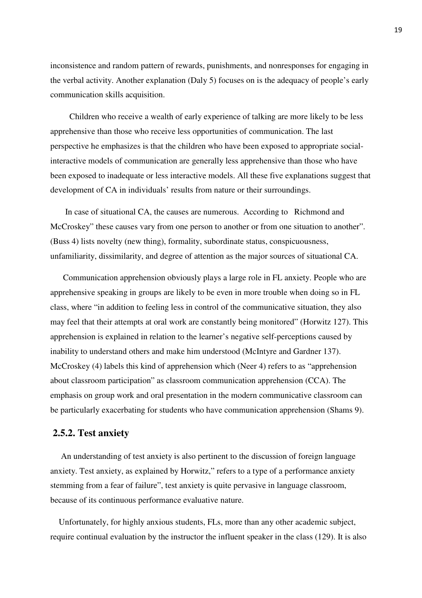inconsistence and random pattern of rewards, punishments, and nonresponses for engaging in the verbal activity. Another explanation (Daly 5) focuses on is the adequacy of people's early communication skills acquisition.

 Children who receive a wealth of early experience of talking are more likely to be less apprehensive than those who receive less opportunities of communication. The last perspective he emphasizes is that the children who have been exposed to appropriate socialinteractive models of communication are generally less apprehensive than those who have been exposed to inadequate or less interactive models. All these five explanations suggest that development of CA in individuals' results from nature or their surroundings.

 In case of situational CA, the causes are numerous. According to Richmond and McCroskey" these causes vary from one person to another or from one situation to another". (Buss 4) lists novelty (new thing), formality, subordinate status, conspicuousness, unfamiliarity, dissimilarity, and degree of attention as the major sources of situational CA.

 Communication apprehension obviously plays a large role in FL anxiety. People who are apprehensive speaking in groups are likely to be even in more trouble when doing so in FL class, where "in addition to feeling less in control of the communicative situation, they also may feel that their attempts at oral work are constantly being monitored" (Horwitz 127). This apprehension is explained in relation to the learner's negative self-perceptions caused by inability to understand others and make him understood (McIntyre and Gardner 137). McCroskey (4) labels this kind of apprehension which (Neer 4) refers to as "apprehension about classroom participation" as classroom communication apprehension (CCA). The emphasis on group work and oral presentation in the modern communicative classroom can be particularly exacerbating for students who have communication apprehension (Shams 9).

#### **2.5.2. Test anxiety**

An understanding of test anxiety is also pertinent to the discussion of foreign language anxiety. Test anxiety, as explained by Horwitz," refers to a type of a performance anxiety stemming from a fear of failure", test anxiety is quite pervasive in language classroom, because of its continuous performance evaluative nature.

 Unfortunately, for highly anxious students, FLs, more than any other academic subject, require continual evaluation by the instructor the influent speaker in the class (129). It is also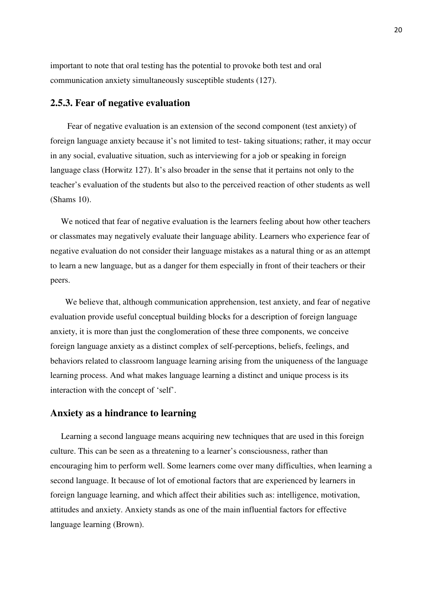important to note that oral testing has the potential to provoke both test and oral communication anxiety simultaneously susceptible students (127).

### **2.5.3. Fear of negative evaluation**

 Fear of negative evaluation is an extension of the second component (test anxiety) of foreign language anxiety because it's not limited to test- taking situations; rather, it may occur in any social, evaluative situation, such as interviewing for a job or speaking in foreign language class (Horwitz 127). It's also broader in the sense that it pertains not only to the teacher's evaluation of the students but also to the perceived reaction of other students as well (Shams 10).

We noticed that fear of negative evaluation is the learners feeling about how other teachers or classmates may negatively evaluate their language ability. Learners who experience fear of negative evaluation do not consider their language mistakes as a natural thing or as an attempt to learn a new language, but as a danger for them especially in front of their teachers or their peers.

 We believe that, although communication apprehension, test anxiety, and fear of negative evaluation provide useful conceptual building blocks for a description of foreign language anxiety, it is more than just the conglomeration of these three components, we conceive foreign language anxiety as a distinct complex of self-perceptions, beliefs, feelings, and behaviors related to classroom language learning arising from the uniqueness of the language learning process. And what makes language learning a distinct and unique process is its interaction with the concept of 'self'.

#### **Anxiety as a hindrance to learning**

 Learning a second language means acquiring new techniques that are used in this foreign culture. This can be seen as a threatening to a learner's consciousness, rather than encouraging him to perform well. Some learners come over many difficulties, when learning a second language. It because of lot of emotional factors that are experienced by learners in foreign language learning, and which affect their abilities such as: intelligence, motivation, attitudes and anxiety. Anxiety stands as one of the main influential factors for effective language learning (Brown).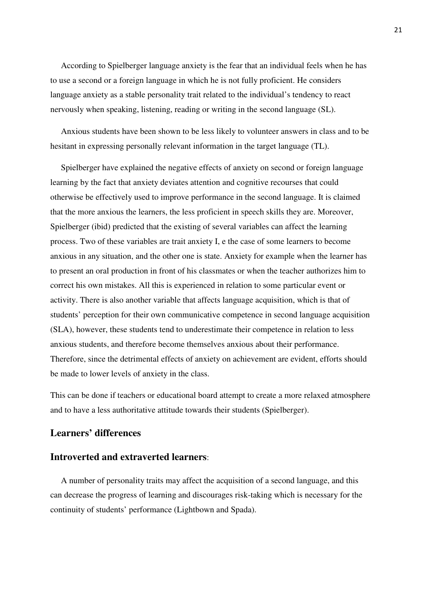According to Spielberger language anxiety is the fear that an individual feels when he has to use a second or a foreign language in which he is not fully proficient. He considers language anxiety as a stable personality trait related to the individual's tendency to react nervously when speaking, listening, reading or writing in the second language (SL).

 Anxious students have been shown to be less likely to volunteer answers in class and to be hesitant in expressing personally relevant information in the target language (TL).

 Spielberger have explained the negative effects of anxiety on second or foreign language learning by the fact that anxiety deviates attention and cognitive recourses that could otherwise be effectively used to improve performance in the second language. It is claimed that the more anxious the learners, the less proficient in speech skills they are. Moreover, Spielberger (ibid) predicted that the existing of several variables can affect the learning process. Two of these variables are trait anxiety I, e the case of some learners to become anxious in any situation, and the other one is state. Anxiety for example when the learner has to present an oral production in front of his classmates or when the teacher authorizes him to correct his own mistakes. All this is experienced in relation to some particular event or activity. There is also another variable that affects language acquisition, which is that of students' perception for their own communicative competence in second language acquisition (SLA), however, these students tend to underestimate their competence in relation to less anxious students, and therefore become themselves anxious about their performance. Therefore, since the detrimental effects of anxiety on achievement are evident, efforts should be made to lower levels of anxiety in the class.

This can be done if teachers or educational board attempt to create a more relaxed atmosphere and to have a less authoritative attitude towards their students (Spielberger).

### **Learners' differences**

### **Introverted and extraverted learners**:

 A number of personality traits may affect the acquisition of a second language, and this can decrease the progress of learning and discourages risk-taking which is necessary for the continuity of students' performance (Lightbown and Spada).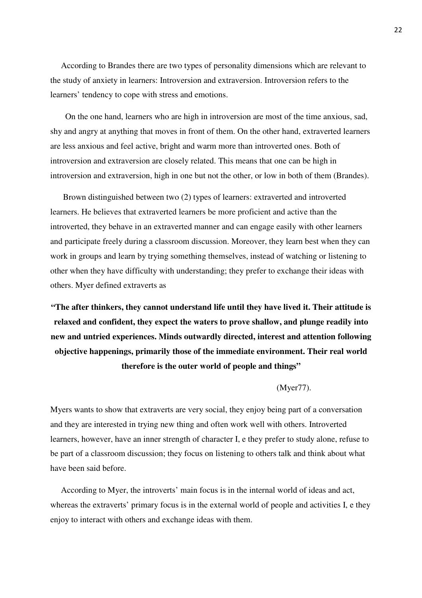According to Brandes there are two types of personality dimensions which are relevant to the study of anxiety in learners: Introversion and extraversion. Introversion refers to the learners' tendency to cope with stress and emotions.

 On the one hand, learners who are high in introversion are most of the time anxious, sad, shy and angry at anything that moves in front of them. On the other hand, extraverted learners are less anxious and feel active, bright and warm more than introverted ones. Both of introversion and extraversion are closely related. This means that one can be high in introversion and extraversion, high in one but not the other, or low in both of them (Brandes).

 Brown distinguished between two (2) types of learners: extraverted and introverted learners. He believes that extraverted learners be more proficient and active than the introverted, they behave in an extraverted manner and can engage easily with other learners and participate freely during a classroom discussion. Moreover, they learn best when they can work in groups and learn by trying something themselves, instead of watching or listening to other when they have difficulty with understanding; they prefer to exchange their ideas with others. Myer defined extraverts as

**"The after thinkers, they cannot understand life until they have lived it. Their attitude is relaxed and confident, they expect the waters to prove shallow, and plunge readily into new and untried experiences. Minds outwardly directed, interest and attention following objective happenings, primarily those of the immediate environment. Their real world therefore is the outer world of people and things"** 

#### (Myer77).

Myers wants to show that extraverts are very social, they enjoy being part of a conversation and they are interested in trying new thing and often work well with others. Introverted learners, however, have an inner strength of character I, e they prefer to study alone, refuse to be part of a classroom discussion; they focus on listening to others talk and think about what have been said before.

 According to Myer, the introverts' main focus is in the internal world of ideas and act, whereas the extraverts' primary focus is in the external world of people and activities I, e they enjoy to interact with others and exchange ideas with them.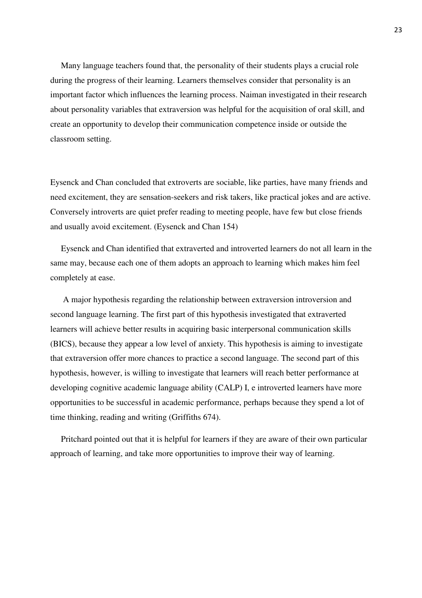Many language teachers found that, the personality of their students plays a crucial role during the progress of their learning. Learners themselves consider that personality is an important factor which influences the learning process. Naiman investigated in their research about personality variables that extraversion was helpful for the acquisition of oral skill, and create an opportunity to develop their communication competence inside or outside the classroom setting.

Eysenck and Chan concluded that extroverts are sociable, like parties, have many friends and need excitement, they are sensation-seekers and risk takers, like practical jokes and are active. Conversely introverts are quiet prefer reading to meeting people, have few but close friends and usually avoid excitement. (Eysenck and Chan 154)

 Eysenck and Chan identified that extraverted and introverted learners do not all learn in the same may, because each one of them adopts an approach to learning which makes him feel completely at ease.

 A major hypothesis regarding the relationship between extraversion introversion and second language learning. The first part of this hypothesis investigated that extraverted learners will achieve better results in acquiring basic interpersonal communication skills (BICS), because they appear a low level of anxiety. This hypothesis is aiming to investigate that extraversion offer more chances to practice a second language. The second part of this hypothesis, however, is willing to investigate that learners will reach better performance at developing cognitive academic language ability (CALP) I, e introverted learners have more opportunities to be successful in academic performance, perhaps because they spend a lot of time thinking, reading and writing (Griffiths 674).

 Pritchard pointed out that it is helpful for learners if they are aware of their own particular approach of learning, and take more opportunities to improve their way of learning.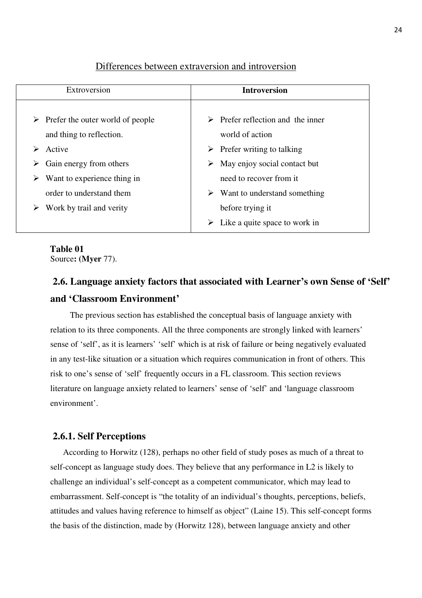### Extroversion **Introversion**  $\triangleright$  Prefer the outer world of people and thing to reflection.  $\triangleright$  Active  $\triangleright$  Gain energy from others  $\triangleright$  Want to experience thing in order to understand them  $\triangleright$  Work by trail and verity  $\triangleright$  Prefer reflection and the inner world of action  $\triangleright$  Prefer writing to talking  $\triangleright$  May enjoy social contact but need to recover from it  $\triangleright$  Want to understand something before trying it  $\triangleright$  Like a quite space to work in

### Differences between extraversion and introversion

## **Table 01**

Source**: (Myer** 77).

# **2.6. Language anxiety factors that associated with Learner's own Sense of 'Self' and 'Classroom Environment'**

 The previous section has established the conceptual basis of language anxiety with relation to its three components. All the three components are strongly linked with learners' sense of 'self', as it is learners' 'self' which is at risk of failure or being negatively evaluated in any test-like situation or a situation which requires communication in front of others. This risk to one's sense of 'self' frequently occurs in a FL classroom. This section reviews literature on language anxiety related to learners' sense of 'self' and 'language classroom environment'.

### **2.6.1. Self Perceptions**

 According to Horwitz (128), perhaps no other field of study poses as much of a threat to self-concept as language study does. They believe that any performance in L2 is likely to challenge an individual's self-concept as a competent communicator, which may lead to embarrassment. Self-concept is "the totality of an individual's thoughts, perceptions, beliefs, attitudes and values having reference to himself as object" (Laine 15). This self-concept forms the basis of the distinction, made by (Horwitz 128), between language anxiety and other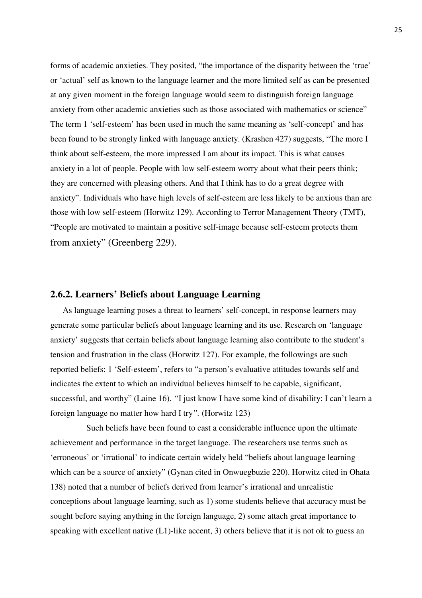forms of academic anxieties. They posited, "the importance of the disparity between the 'true' or 'actual' self as known to the language learner and the more limited self as can be presented at any given moment in the foreign language would seem to distinguish foreign language anxiety from other academic anxieties such as those associated with mathematics or science" The term 1 'self-esteem' has been used in much the same meaning as 'self-concept' and has been found to be strongly linked with language anxiety. (Krashen 427) suggests, "The more I think about self-esteem, the more impressed I am about its impact. This is what causes anxiety in a lot of people. People with low self-esteem worry about what their peers think; they are concerned with pleasing others. And that I think has to do a great degree with anxiety". Individuals who have high levels of self-esteem are less likely to be anxious than are those with low self-esteem (Horwitz 129). According to Terror Management Theory (TMT), "People are motivated to maintain a positive self-image because self-esteem protects them from anxiety" (Greenberg 229).

## **2.6.2. Learners' Beliefs about Language Learning**

As language learning poses a threat to learners' self-concept, in response learners may generate some particular beliefs about language learning and its use. Research on 'language anxiety' suggests that certain beliefs about language learning also contribute to the student's tension and frustration in the class (Horwitz 127). For example, the followings are such reported beliefs: 1 'Self-esteem', refers to "a person's evaluative attitudes towards self and indicates the extent to which an individual believes himself to be capable, significant, successful, and worthy" (Laine 16). *"*I just know I have some kind of disability: I can't learn a foreign language no matter how hard I try*".* (Horwitz 123)

 Such beliefs have been found to cast a considerable influence upon the ultimate achievement and performance in the target language. The researchers use terms such as 'erroneous' or 'irrational' to indicate certain widely held "beliefs about language learning which can be a source of anxiety" (Gynan cited in Onwuegbuzie 220). Horwitz cited in Ohata 138) noted that a number of beliefs derived from learner's irrational and unrealistic conceptions about language learning, such as 1) some students believe that accuracy must be sought before saying anything in the foreign language, 2) some attach great importance to speaking with excellent native (L1)-like accent, 3) others believe that it is not ok to guess an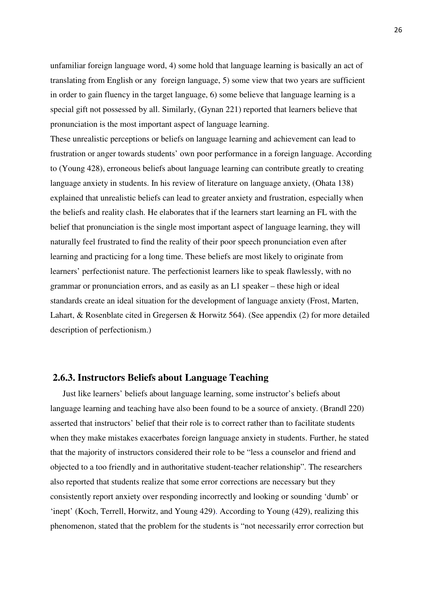unfamiliar foreign language word, 4) some hold that language learning is basically an act of translating from English or any foreign language, 5) some view that two years are sufficient in order to gain fluency in the target language, 6) some believe that language learning is a special gift not possessed by all. Similarly, (Gynan 221) reported that learners believe that pronunciation is the most important aspect of language learning.

These unrealistic perceptions or beliefs on language learning and achievement can lead to frustration or anger towards students' own poor performance in a foreign language. According to (Young 428), erroneous beliefs about language learning can contribute greatly to creating language anxiety in students. In his review of literature on language anxiety, (Ohata 138) explained that unrealistic beliefs can lead to greater anxiety and frustration, especially when the beliefs and reality clash. He elaborates that if the learners start learning an FL with the belief that pronunciation is the single most important aspect of language learning, they will naturally feel frustrated to find the reality of their poor speech pronunciation even after learning and practicing for a long time. These beliefs are most likely to originate from learners' perfectionist nature. The perfectionist learners like to speak flawlessly, with no grammar or pronunciation errors, and as easily as an L1 speaker – these high or ideal standards create an ideal situation for the development of language anxiety (Frost, Marten, Lahart, & Rosenblate cited in Gregersen & Horwitz 564). (See appendix (2) for more detailed description of perfectionism.)

## **2.6.3. Instructors Beliefs about Language Teaching**

Just like learners' beliefs about language learning, some instructor's beliefs about language learning and teaching have also been found to be a source of anxiety. (Brandl 220) asserted that instructors' belief that their role is to correct rather than to facilitate students when they make mistakes exacerbates foreign language anxiety in students. Further, he stated that the majority of instructors considered their role to be "less a counselor and friend and objected to a too friendly and in authoritative student-teacher relationship". The researchers also reported that students realize that some error corrections are necessary but they consistently report anxiety over responding incorrectly and looking or sounding 'dumb' or 'inept' (Koch, Terrell, Horwitz, and Young 429). According to Young (429), realizing this phenomenon, stated that the problem for the students is "not necessarily error correction but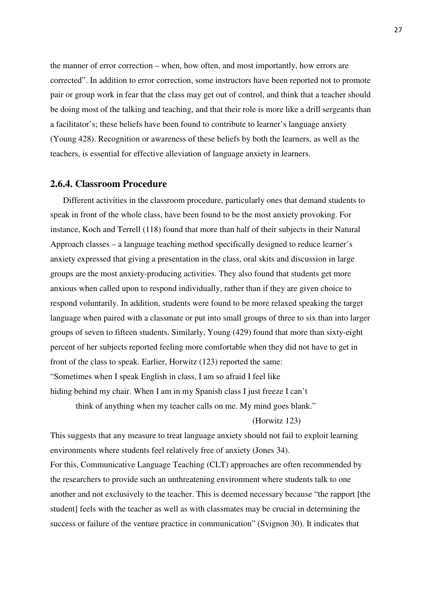the manner of error correction – when, how often, and most importantly, how errors are corrected". In addition to error correction, some instructors have been reported not to promote pair or group work in fear that the class may get out of control, and think that a teacher should be doing most of the talking and teaching, and that their role is more like a drill sergeants than a facilitator's; these beliefs have been found to contribute to learner's language anxiety (Young 428). Recognition or awareness of these beliefs by both the learners, as well as the teachers, is essential for effective alleviation of language anxiety in learners.

## **2.6.4. Classroom Procedure**

Different activities in the classroom procedure, particularly ones that demand students to speak in front of the whole class, have been found to be the most anxiety provoking. For instance, Koch and Terrell (118) found that more than half of their subjects in their Natural Approach classes – a language teaching method specifically designed to reduce learner's anxiety expressed that giving a presentation in the class, oral skits and discussion in large groups are the most anxiety-producing activities. They also found that students get more anxious when called upon to respond individually, rather than if they are given choice to respond voluntarily. In addition, students were found to be more relaxed speaking the target language when paired with a classmate or put into small groups of three to six than into larger groups of seven to fifteen students. Similarly, Young (429) found that more than sixty-eight percent of her subjects reported feeling more comfortable when they did not have to get in front of the class to speak. Earlier, Horwitz (123) reported the same: "Sometimes when I speak English in class, I am so afraid I feel like hiding behind my chair. When I am in my Spanish class I just freeze I can't

think of anything when my teacher calls on me. My mind goes blank."

(Horwitz 123)

This suggests that any measure to treat language anxiety should not fail to exploit learning environments where students feel relatively free of anxiety (Jones 34). For this, Communicative Language Teaching (CLT) approaches are often recommended by the researchers to provide such an unthreatening environment where students talk to one another and not exclusively to the teacher. This is deemed necessary because "the rapport [the student] feels with the teacher as well as with classmates may be crucial in determining the success or failure of the venture practice in communication" (Svignon 30). It indicates that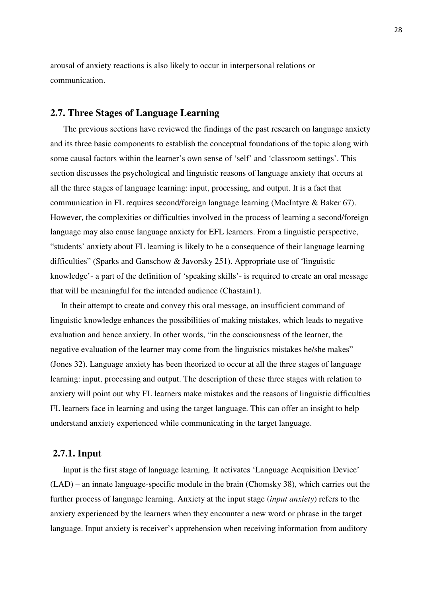arousal of anxiety reactions is also likely to occur in interpersonal relations or communication.

## **2.7. Three Stages of Language Learning**

 The previous sections have reviewed the findings of the past research on language anxiety and its three basic components to establish the conceptual foundations of the topic along with some causal factors within the learner's own sense of 'self' and 'classroom settings'. This section discusses the psychological and linguistic reasons of language anxiety that occurs at all the three stages of language learning: input, processing, and output. It is a fact that communication in FL requires second/foreign language learning (MacIntyre & Baker 67). However, the complexities or difficulties involved in the process of learning a second/foreign language may also cause language anxiety for EFL learners. From a linguistic perspective, "students' anxiety about FL learning is likely to be a consequence of their language learning difficulties" (Sparks and Ganschow & Javorsky 251). Appropriate use of 'linguistic knowledge'- a part of the definition of 'speaking skills'- is required to create an oral message that will be meaningful for the intended audience (Chastain1).

 In their attempt to create and convey this oral message, an insufficient command of linguistic knowledge enhances the possibilities of making mistakes, which leads to negative evaluation and hence anxiety. In other words, "in the consciousness of the learner, the negative evaluation of the learner may come from the linguistics mistakes he/she makes" (Jones 32). Language anxiety has been theorized to occur at all the three stages of language learning: input, processing and output. The description of these three stages with relation to anxiety will point out why FL learners make mistakes and the reasons of linguistic difficulties FL learners face in learning and using the target language. This can offer an insight to help understand anxiety experienced while communicating in the target language.

#### **2.7.1. Input**

 Input is the first stage of language learning. It activates 'Language Acquisition Device' (LAD) – an innate language-specific module in the brain (Chomsky 38), which carries out the further process of language learning. Anxiety at the input stage (*input anxiety*) refers to the anxiety experienced by the learners when they encounter a new word or phrase in the target language. Input anxiety is receiver's apprehension when receiving information from auditory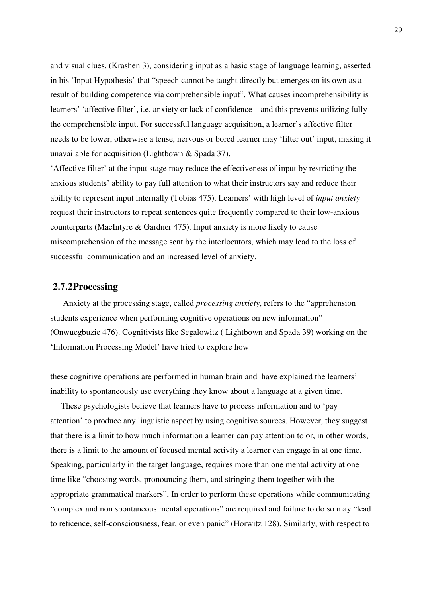and visual clues. (Krashen 3), considering input as a basic stage of language learning, asserted in his 'Input Hypothesis' that "speech cannot be taught directly but emerges on its own as a result of building competence via comprehensible input". What causes incomprehensibility is learners' 'affective filter', i.e. anxiety or lack of confidence – and this prevents utilizing fully the comprehensible input. For successful language acquisition, a learner's affective filter needs to be lower, otherwise a tense, nervous or bored learner may 'filter out' input, making it unavailable for acquisition (Lightbown & Spada 37).

'Affective filter' at the input stage may reduce the effectiveness of input by restricting the anxious students' ability to pay full attention to what their instructors say and reduce their ability to represent input internally (Tobias 475). Learners' with high level of *input anxiety*  request their instructors to repeat sentences quite frequently compared to their low-anxious counterparts (MacIntyre & Gardner 475). Input anxiety is more likely to cause miscomprehension of the message sent by the interlocutors, which may lead to the loss of successful communication and an increased level of anxiety.

### **2.7.2Processing**

 Anxiety at the processing stage, called *processing anxiety*, refers to the "apprehension students experience when performing cognitive operations on new information" (Onwuegbuzie 476). Cognitivists like Segalowitz ( Lightbown and Spada 39) working on the 'Information Processing Model' have tried to explore how

these cognitive operations are performed in human brain and have explained the learners' inability to spontaneously use everything they know about a language at a given time.

 These psychologists believe that learners have to process information and to 'pay attention' to produce any linguistic aspect by using cognitive sources. However, they suggest that there is a limit to how much information a learner can pay attention to or, in other words, there is a limit to the amount of focused mental activity a learner can engage in at one time. Speaking, particularly in the target language, requires more than one mental activity at one time like "choosing words, pronouncing them, and stringing them together with the appropriate grammatical markers", In order to perform these operations while communicating "complex and non spontaneous mental operations" are required and failure to do so may "lead to reticence, self-consciousness, fear, or even panic" (Horwitz 128). Similarly, with respect to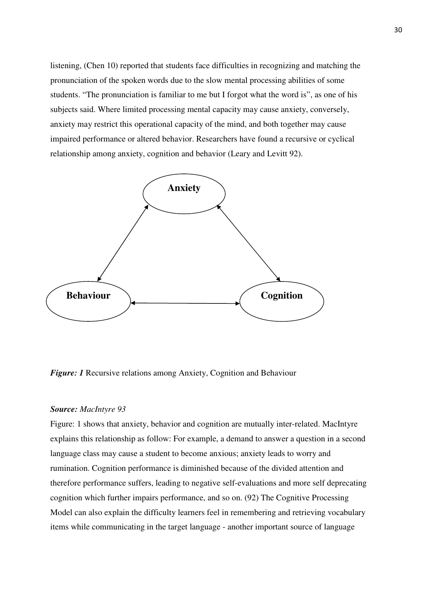listening, (Chen 10) reported that students face difficulties in recognizing and matching the pronunciation of the spoken words due to the slow mental processing abilities of some students. "The pronunciation is familiar to me but I forgot what the word is", as one of his subjects said. Where limited processing mental capacity may cause anxiety, conversely, anxiety may restrict this operational capacity of the mind, and both together may cause impaired performance or altered behavior. Researchers have found a recursive or cyclical relationship among anxiety, cognition and behavior (Leary and Levitt 92).



*Figure: 1* Recursive relations among Anxiety, Cognition and Behaviour

### *Source: MacIntyre 93*

Figure: 1 shows that anxiety, behavior and cognition are mutually inter-related. MacIntyre explains this relationship as follow: For example, a demand to answer a question in a second language class may cause a student to become anxious; anxiety leads to worry and rumination. Cognition performance is diminished because of the divided attention and therefore performance suffers, leading to negative self-evaluations and more self deprecating cognition which further impairs performance, and so on. (92) The Cognitive Processing Model can also explain the difficulty learners feel in remembering and retrieving vocabulary items while communicating in the target language - another important source of language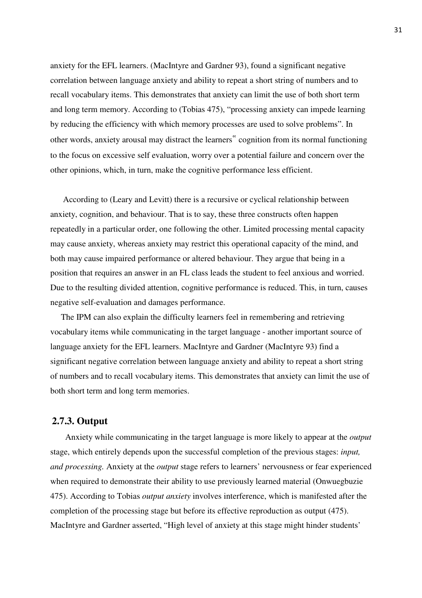anxiety for the EFL learners. (MacIntyre and Gardner 93), found a significant negative correlation between language anxiety and ability to repeat a short string of numbers and to recall vocabulary items. This demonstrates that anxiety can limit the use of both short term and long term memory. According to (Tobias 475), "processing anxiety can impede learning by reducing the efficiency with which memory processes are used to solve problems". In other words, anxiety arousal may distract the learners" cognition from its normal functioning to the focus on excessive self evaluation, worry over a potential failure and concern over the other opinions, which, in turn, make the cognitive performance less efficient.

 According to (Leary and Levitt) there is a recursive or cyclical relationship between anxiety, cognition, and behaviour. That is to say, these three constructs often happen repeatedly in a particular order, one following the other. Limited processing mental capacity may cause anxiety, whereas anxiety may restrict this operational capacity of the mind, and both may cause impaired performance or altered behaviour. They argue that being in a position that requires an answer in an FL class leads the student to feel anxious and worried. Due to the resulting divided attention, cognitive performance is reduced. This, in turn, causes negative self-evaluation and damages performance.

 The IPM can also explain the difficulty learners feel in remembering and retrieving vocabulary items while communicating in the target language - another important source of language anxiety for the EFL learners. MacIntyre and Gardner (MacIntyre 93) find a significant negative correlation between language anxiety and ability to repeat a short string of numbers and to recall vocabulary items. This demonstrates that anxiety can limit the use of both short term and long term memories.

#### **2.7.3. Output**

 Anxiety while communicating in the target language is more likely to appear at the *output*  stage, which entirely depends upon the successful completion of the previous stages: *input, and processing.* Anxiety at the *output* stage refers to learners' nervousness or fear experienced when required to demonstrate their ability to use previously learned material (Onwuegbuzie 475). According to Tobias *output anxiety* involves interference, which is manifested after the completion of the processing stage but before its effective reproduction as output (475). MacIntyre and Gardner asserted, "High level of anxiety at this stage might hinder students'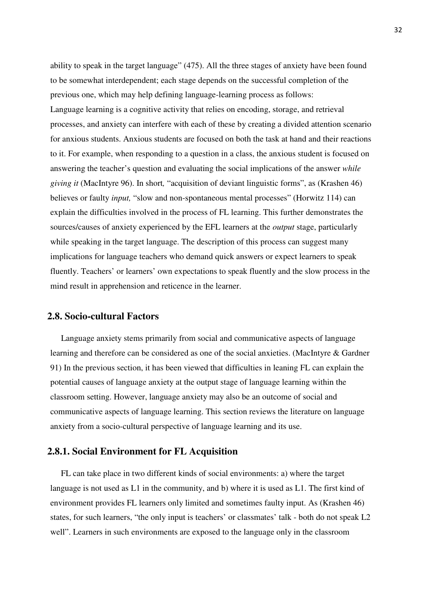ability to speak in the target language" (475). All the three stages of anxiety have been found to be somewhat interdependent; each stage depends on the successful completion of the previous one, which may help defining language-learning process as follows: Language learning is a cognitive activity that relies on encoding, storage, and retrieval processes, and anxiety can interfere with each of these by creating a divided attention scenario for anxious students. Anxious students are focused on both the task at hand and their reactions to it. For example, when responding to a question in a class, the anxious student is focused on answering the teacher's question and evaluating the social implications of the answer *while giving it* (MacIntyre 96). In short*,* "acquisition of deviant linguistic forms", as (Krashen 46) believes or faulty *input,* "slow and non-spontaneous mental processes" (Horwitz 114) can explain the difficulties involved in the process of FL learning. This further demonstrates the sources/causes of anxiety experienced by the EFL learners at the *output* stage, particularly while speaking in the target language. The description of this process can suggest many implications for language teachers who demand quick answers or expect learners to speak fluently. Teachers' or learners' own expectations to speak fluently and the slow process in the mind result in apprehension and reticence in the learner.

## **2.8. Socio-cultural Factors**

 Language anxiety stems primarily from social and communicative aspects of language learning and therefore can be considered as one of the social anxieties. (MacIntyre & Gardner 91) In the previous section, it has been viewed that difficulties in leaning FL can explain the potential causes of language anxiety at the output stage of language learning within the classroom setting. However, language anxiety may also be an outcome of social and communicative aspects of language learning. This section reviews the literature on language anxiety from a socio-cultural perspective of language learning and its use.

## **2.8.1. Social Environment for FL Acquisition**

 FL can take place in two different kinds of social environments: a) where the target language is not used as L1 in the community, and b) where it is used as L1. The first kind of environment provides FL learners only limited and sometimes faulty input. As (Krashen 46) states, for such learners, "the only input is teachers' or classmates' talk - both do not speak L2 well". Learners in such environments are exposed to the language only in the classroom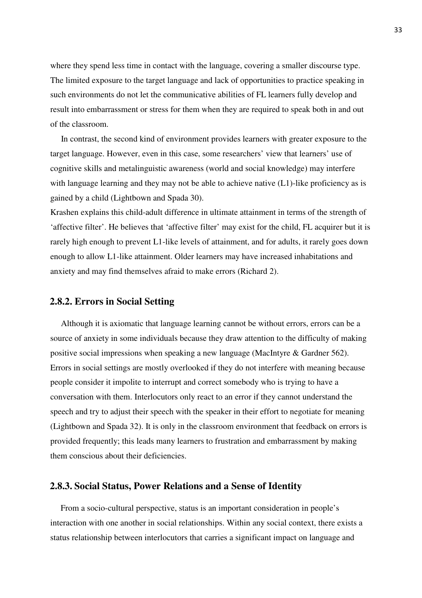where they spend less time in contact with the language, covering a smaller discourse type. The limited exposure to the target language and lack of opportunities to practice speaking in such environments do not let the communicative abilities of FL learners fully develop and result into embarrassment or stress for them when they are required to speak both in and out of the classroom.

 In contrast, the second kind of environment provides learners with greater exposure to the target language. However, even in this case, some researchers' view that learners' use of cognitive skills and metalinguistic awareness (world and social knowledge) may interfere with language learning and they may not be able to achieve native  $(L1)$ -like proficiency as is gained by a child (Lightbown and Spada 30).

Krashen explains this child-adult difference in ultimate attainment in terms of the strength of 'affective filter'. He believes that 'affective filter' may exist for the child, FL acquirer but it is rarely high enough to prevent L1-like levels of attainment, and for adults, it rarely goes down enough to allow L1-like attainment. Older learners may have increased inhabitations and anxiety and may find themselves afraid to make errors (Richard 2).

## **2.8.2. Errors in Social Setting**

 Although it is axiomatic that language learning cannot be without errors, errors can be a source of anxiety in some individuals because they draw attention to the difficulty of making positive social impressions when speaking a new language (MacIntyre & Gardner 562). Errors in social settings are mostly overlooked if they do not interfere with meaning because people consider it impolite to interrupt and correct somebody who is trying to have a conversation with them. Interlocutors only react to an error if they cannot understand the speech and try to adjust their speech with the speaker in their effort to negotiate for meaning (Lightbown and Spada 32). It is only in the classroom environment that feedback on errors is provided frequently; this leads many learners to frustration and embarrassment by making them conscious about their deficiencies.

## **2.8.3. Social Status, Power Relations and a Sense of Identity**

 From a socio-cultural perspective, status is an important consideration in people's interaction with one another in social relationships. Within any social context, there exists a status relationship between interlocutors that carries a significant impact on language and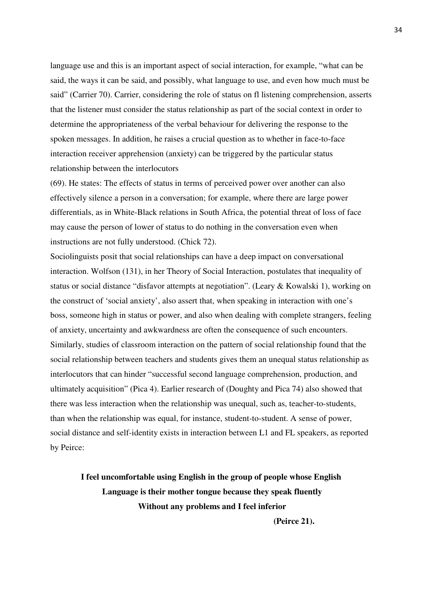language use and this is an important aspect of social interaction, for example, "what can be said, the ways it can be said, and possibly, what language to use, and even how much must be said" (Carrier 70). Carrier, considering the role of status on fl listening comprehension, asserts that the listener must consider the status relationship as part of the social context in order to determine the appropriateness of the verbal behaviour for delivering the response to the spoken messages. In addition, he raises a crucial question as to whether in face-to-face interaction receiver apprehension (anxiety) can be triggered by the particular status relationship between the interlocutors

(69). He states: The effects of status in terms of perceived power over another can also effectively silence a person in a conversation; for example, where there are large power differentials, as in White-Black relations in South Africa, the potential threat of loss of face may cause the person of lower of status to do nothing in the conversation even when instructions are not fully understood. (Chick 72).

Sociolinguists posit that social relationships can have a deep impact on conversational interaction. Wolfson (131), in her Theory of Social Interaction, postulates that inequality of status or social distance "disfavor attempts at negotiation". (Leary & Kowalski 1), working on the construct of 'social anxiety', also assert that, when speaking in interaction with one's boss, someone high in status or power, and also when dealing with complete strangers, feeling of anxiety, uncertainty and awkwardness are often the consequence of such encounters. Similarly, studies of classroom interaction on the pattern of social relationship found that the social relationship between teachers and students gives them an unequal status relationship as interlocutors that can hinder "successful second language comprehension, production, and ultimately acquisition" (Pica 4). Earlier research of (Doughty and Pica 74) also showed that there was less interaction when the relationship was unequal, such as, teacher-to-students, than when the relationship was equal, for instance, student-to-student. A sense of power, social distance and self-identity exists in interaction between L1 and FL speakers, as reported by Peirce:

# **I feel uncomfortable using English in the group of people whose English Language is their mother tongue because they speak fluently Without any problems and I feel inferior**

 **(Peirce 21).**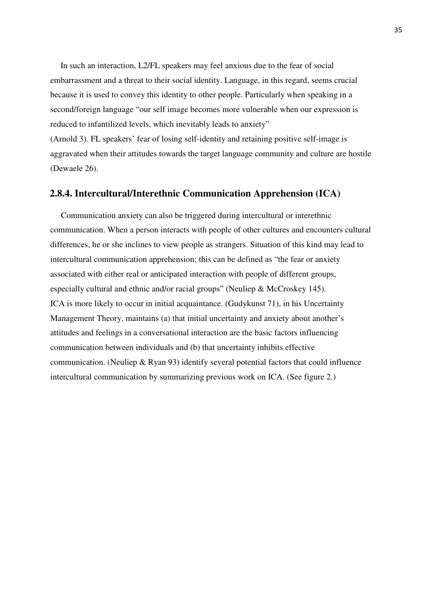In such an interaction, L2/FL speakers may feel anxious due to the fear of social embarrassment and a threat to their social identity. Language, in this regard, seems crucial because it is used to convey this identity to other people. Particularly when speaking in a second/foreign language "our self image becomes more vulnerable when our expression is reduced to infantilized levels, which inevitably leads to anxiety"

(Arnold 3). FL speakers' fear of losing self-identity and retaining positive self-image is aggravated when their attitudes towards the target language community and culture are hostile (Dewaele 26).

#### **2.8.4. Intercultural/Interethnic Communication Apprehension (ICA)**

 Communication anxiety can also be triggered during intercultural or interethnic communication. When a person interacts with people of other cultures and encounters cultural differences, he or she inclines to view people as strangers. Situation of this kind may lead to intercultural communication apprehension; this can be defined as "the fear or anxiety associated with either real or anticipated interaction with people of different groups, especially cultural and ethnic and/or racial groups" (Neuliep & McCroskey 145). ICA is more likely to occur in initial acquaintance. (Gudykunst 71), in his Uncertainty Management Theory, maintains (a) that initial uncertainty and anxiety about another's attitudes and feelings in a conversational interaction are the basic factors influencing communication between individuals and (b) that uncertainty inhibits effective communication. (Neuliep & Ryan 93) identify several potential factors that could influence intercultural communication by summarizing previous work on ICA. (See figure 2.)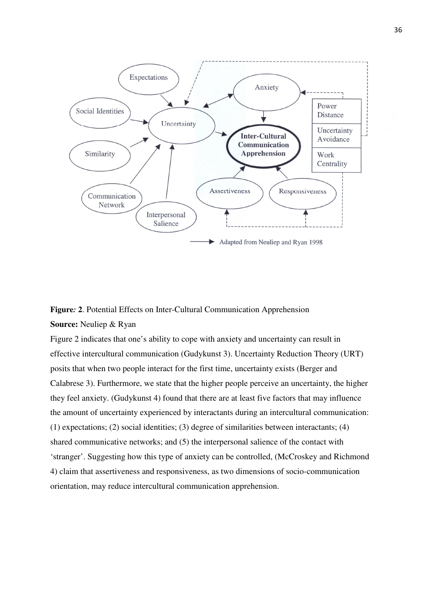

**Figure***:* **2**. Potential Effects on Inter-Cultural Communication Apprehension **Source:** Neuliep & Ryan

Figure 2 indicates that one's ability to cope with anxiety and uncertainty can result in effective intercultural communication (Gudykunst 3). Uncertainty Reduction Theory (URT) posits that when two people interact for the first time, uncertainty exists (Berger and Calabrese 3). Furthermore, we state that the higher people perceive an uncertainty, the higher they feel anxiety. (Gudykunst 4) found that there are at least five factors that may influence the amount of uncertainty experienced by interactants during an intercultural communication: (1) expectations; (2) social identities; (3) degree of similarities between interactants; (4) shared communicative networks; and (5) the interpersonal salience of the contact with 'stranger'. Suggesting how this type of anxiety can be controlled, (McCroskey and Richmond 4) claim that assertiveness and responsiveness, as two dimensions of socio-communication orientation, may reduce intercultural communication apprehension.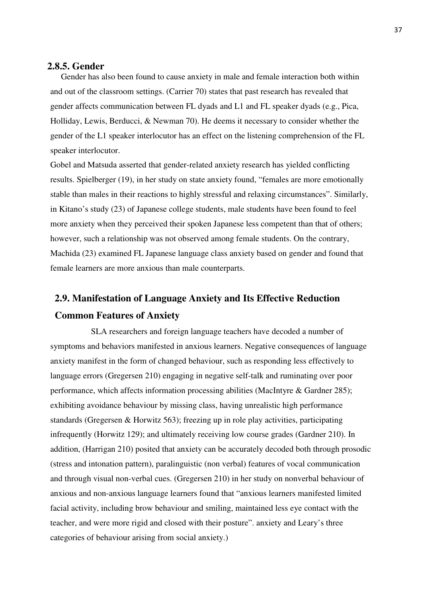## **2.8.5. Gender**

 Gender has also been found to cause anxiety in male and female interaction both within and out of the classroom settings. (Carrier 70) states that past research has revealed that gender affects communication between FL dyads and L1 and FL speaker dyads (e.g., Pica, Holliday, Lewis, Berducci, & Newman 70). He deems it necessary to consider whether the gender of the L1 speaker interlocutor has an effect on the listening comprehension of the FL speaker interlocutor.

Gobel and Matsuda asserted that gender-related anxiety research has yielded conflicting results. Spielberger (19), in her study on state anxiety found, "females are more emotionally stable than males in their reactions to highly stressful and relaxing circumstances". Similarly, in Kitano's study (23) of Japanese college students, male students have been found to feel more anxiety when they perceived their spoken Japanese less competent than that of others; however, such a relationship was not observed among female students. On the contrary, Machida (23) examined FL Japanese language class anxiety based on gender and found that female learners are more anxious than male counterparts.

# **2.9. Manifestation of Language Anxiety and Its Effective Reduction Common Features of Anxiety**

SLA researchers and foreign language teachers have decoded a number of symptoms and behaviors manifested in anxious learners. Negative consequences of language anxiety manifest in the form of changed behaviour, such as responding less effectively to language errors (Gregersen 210) engaging in negative self-talk and ruminating over poor performance, which affects information processing abilities (MacIntyre & Gardner 285); exhibiting avoidance behaviour by missing class, having unrealistic high performance standards (Gregersen & Horwitz 563); freezing up in role play activities, participating infrequently (Horwitz 129); and ultimately receiving low course grades (Gardner 210). In addition, (Harrigan 210) posited that anxiety can be accurately decoded both through prosodic (stress and intonation pattern), paralinguistic (non verbal) features of vocal communication and through visual non-verbal cues. (Gregersen 210) in her study on nonverbal behaviour of anxious and non-anxious language learners found that "anxious learners manifested limited facial activity, including brow behaviour and smiling, maintained less eye contact with the teacher, and were more rigid and closed with their posture". anxiety and Leary's three categories of behaviour arising from social anxiety.)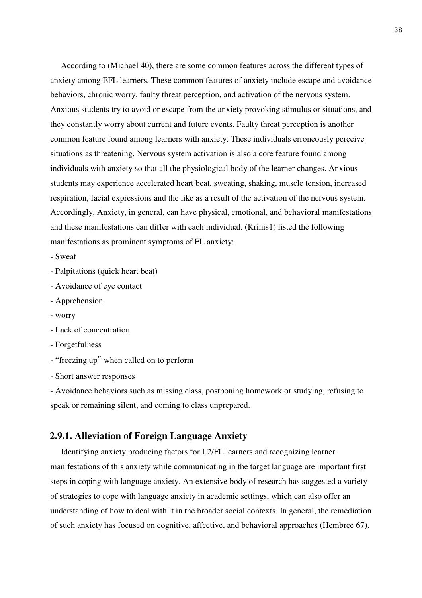According to (Michael 40), there are some common features across the different types of anxiety among EFL learners. These common features of anxiety include escape and avoidance behaviors, chronic worry, faulty threat perception, and activation of the nervous system. Anxious students try to avoid or escape from the anxiety provoking stimulus or situations, and they constantly worry about current and future events. Faulty threat perception is another common feature found among learners with anxiety. These individuals erroneously perceive situations as threatening. Nervous system activation is also a core feature found among individuals with anxiety so that all the physiological body of the learner changes. Anxious students may experience accelerated heart beat, sweating, shaking, muscle tension, increased respiration, facial expressions and the like as a result of the activation of the nervous system. Accordingly, Anxiety, in general, can have physical, emotional, and behavioral manifestations and these manifestations can differ with each individual. (Krinis1) listed the following manifestations as prominent symptoms of FL anxiety:

- Sweat
- Palpitations (quick heart beat)
- Avoidance of eye contact
- Apprehension
- worry
- Lack of concentration
- Forgetfulness
- "freezing up" when called on to perform
- Short answer responses

- Avoidance behaviors such as missing class, postponing homework or studying, refusing to speak or remaining silent, and coming to class unprepared.

# **2.9.1. Alleviation of Foreign Language Anxiety**

 Identifying anxiety producing factors for L2/FL learners and recognizing learner manifestations of this anxiety while communicating in the target language are important first steps in coping with language anxiety. An extensive body of research has suggested a variety of strategies to cope with language anxiety in academic settings, which can also offer an understanding of how to deal with it in the broader social contexts. In general, the remediation of such anxiety has focused on cognitive, affective, and behavioral approaches (Hembree 67).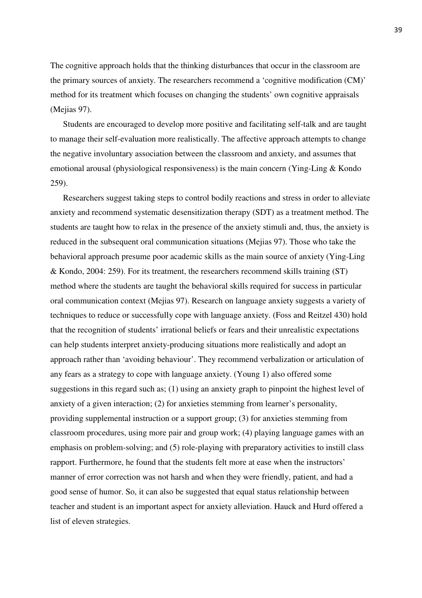The cognitive approach holds that the thinking disturbances that occur in the classroom are the primary sources of anxiety. The researchers recommend a 'cognitive modification (CM)' method for its treatment which focuses on changing the students' own cognitive appraisals (Mejias 97).

 Students are encouraged to develop more positive and facilitating self-talk and are taught to manage their self-evaluation more realistically. The affective approach attempts to change the negative involuntary association between the classroom and anxiety, and assumes that emotional arousal (physiological responsiveness) is the main concern (Ying-Ling & Kondo 259).

 Researchers suggest taking steps to control bodily reactions and stress in order to alleviate anxiety and recommend systematic desensitization therapy (SDT) as a treatment method. The students are taught how to relax in the presence of the anxiety stimuli and, thus, the anxiety is reduced in the subsequent oral communication situations (Mejias 97). Those who take the behavioral approach presume poor academic skills as the main source of anxiety (Ying-Ling & Kondo, 2004: 259). For its treatment, the researchers recommend skills training (ST) method where the students are taught the behavioral skills required for success in particular oral communication context (Mejias 97). Research on language anxiety suggests a variety of techniques to reduce or successfully cope with language anxiety. (Foss and Reitzel 430) hold that the recognition of students' irrational beliefs or fears and their unrealistic expectations can help students interpret anxiety-producing situations more realistically and adopt an approach rather than 'avoiding behaviour'. They recommend verbalization or articulation of any fears as a strategy to cope with language anxiety. (Young 1) also offered some suggestions in this regard such as; (1) using an anxiety graph to pinpoint the highest level of anxiety of a given interaction; (2) for anxieties stemming from learner's personality, providing supplemental instruction or a support group; (3) for anxieties stemming from classroom procedures, using more pair and group work; (4) playing language games with an emphasis on problem-solving; and (5) role-playing with preparatory activities to instill class rapport. Furthermore, he found that the students felt more at ease when the instructors' manner of error correction was not harsh and when they were friendly, patient, and had a good sense of humor. So, it can also be suggested that equal status relationship between teacher and student is an important aspect for anxiety alleviation. Hauck and Hurd offered a list of eleven strategies.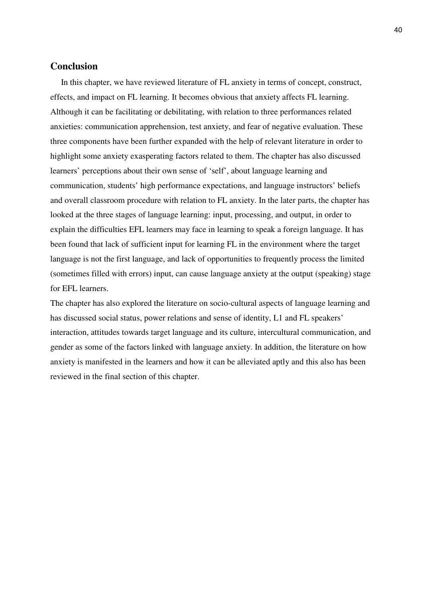# **Conclusion**

 In this chapter, we have reviewed literature of FL anxiety in terms of concept, construct, effects, and impact on FL learning. It becomes obvious that anxiety affects FL learning. Although it can be facilitating or debilitating, with relation to three performances related anxieties: communication apprehension, test anxiety, and fear of negative evaluation. These three components have been further expanded with the help of relevant literature in order to highlight some anxiety exasperating factors related to them. The chapter has also discussed learners' perceptions about their own sense of 'self', about language learning and communication, students' high performance expectations, and language instructors' beliefs and overall classroom procedure with relation to FL anxiety. In the later parts, the chapter has looked at the three stages of language learning: input, processing, and output, in order to explain the difficulties EFL learners may face in learning to speak a foreign language. It has been found that lack of sufficient input for learning FL in the environment where the target language is not the first language, and lack of opportunities to frequently process the limited (sometimes filled with errors) input, can cause language anxiety at the output (speaking) stage for EFL learners.

The chapter has also explored the literature on socio-cultural aspects of language learning and has discussed social status, power relations and sense of identity, L1 and FL speakers' interaction, attitudes towards target language and its culture, intercultural communication, and gender as some of the factors linked with language anxiety. In addition, the literature on how anxiety is manifested in the learners and how it can be alleviated aptly and this also has been reviewed in the final section of this chapter.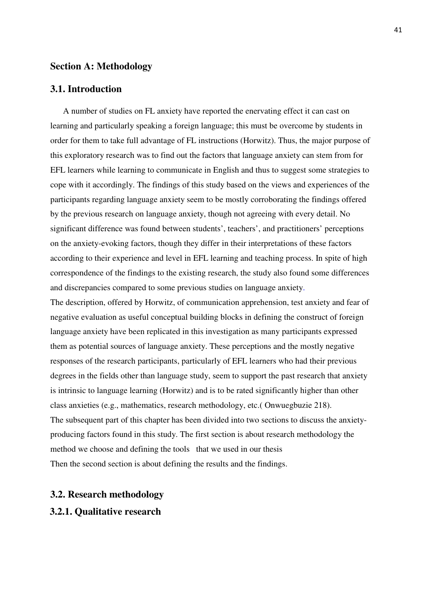## **Section A: Methodology**

## **3.1. Introduction**

 A number of studies on FL anxiety have reported the enervating effect it can cast on learning and particularly speaking a foreign language; this must be overcome by students in order for them to take full advantage of FL instructions (Horwitz). Thus, the major purpose of this exploratory research was to find out the factors that language anxiety can stem from for EFL learners while learning to communicate in English and thus to suggest some strategies to cope with it accordingly. The findings of this study based on the views and experiences of the participants regarding language anxiety seem to be mostly corroborating the findings offered by the previous research on language anxiety, though not agreeing with every detail. No significant difference was found between students', teachers', and practitioners' perceptions on the anxiety-evoking factors, though they differ in their interpretations of these factors according to their experience and level in EFL learning and teaching process. In spite of high correspondence of the findings to the existing research, the study also found some differences and discrepancies compared to some previous studies on language anxiety.

The description, offered by Horwitz, of communication apprehension, test anxiety and fear of negative evaluation as useful conceptual building blocks in defining the construct of foreign language anxiety have been replicated in this investigation as many participants expressed them as potential sources of language anxiety. These perceptions and the mostly negative responses of the research participants, particularly of EFL learners who had their previous degrees in the fields other than language study, seem to support the past research that anxiety is intrinsic to language learning (Horwitz) and is to be rated significantly higher than other class anxieties (e.g., mathematics, research methodology, etc.( Onwuegbuzie 218). The subsequent part of this chapter has been divided into two sections to discuss the anxietyproducing factors found in this study. The first section is about research methodology the method we choose and defining the tools that we used in our thesis Then the second section is about defining the results and the findings.

## **3.2. Research methodology**

## **3.2.1. Qualitative research**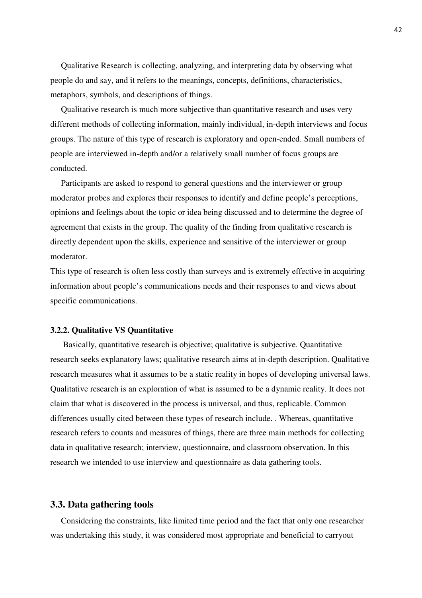Qualitative Research is collecting, analyzing, and interpreting data by observing what people do and say, and it refers to the meanings, concepts, definitions, characteristics, metaphors, symbols, and descriptions of things.

 Qualitative research is much more subjective than quantitative research and uses very different methods of collecting information, mainly individual, in-depth interviews and focus groups. The nature of this type of research is exploratory and open-ended. Small numbers of people are interviewed in-depth and/or a relatively small number of focus groups are conducted.

 Participants are asked to respond to general questions and the interviewer or group moderator probes and explores their responses to identify and define people's perceptions, opinions and feelings about the topic or idea being discussed and to determine the degree of agreement that exists in the group. The quality of the finding from qualitative research is directly dependent upon the skills, experience and sensitive of the interviewer or group moderator.

This type of research is often less costly than surveys and is extremely effective in acquiring information about people's communications needs and their responses to and views about specific communications.

#### **3.2.2. Qualitative VS Quantitative**

 Basically, quantitative research is objective; qualitative is subjective. Quantitative research seeks explanatory laws; qualitative research aims at in-depth description. Qualitative research measures what it assumes to be a static reality in hopes of developing universal laws. Qualitative research is an exploration of what is assumed to be a dynamic reality. It does not claim that what is discovered in the process is universal, and thus, replicable. Common differences usually cited between these types of research include. . Whereas, quantitative research refers to counts and measures of things, there are three main methods for collecting data in qualitative research; interview, questionnaire, and classroom observation. In this research we intended to use interview and questionnaire as data gathering tools.

#### **3.3. Data gathering tools**

 Considering the constraints, like limited time period and the fact that only one researcher was undertaking this study, it was considered most appropriate and beneficial to carryout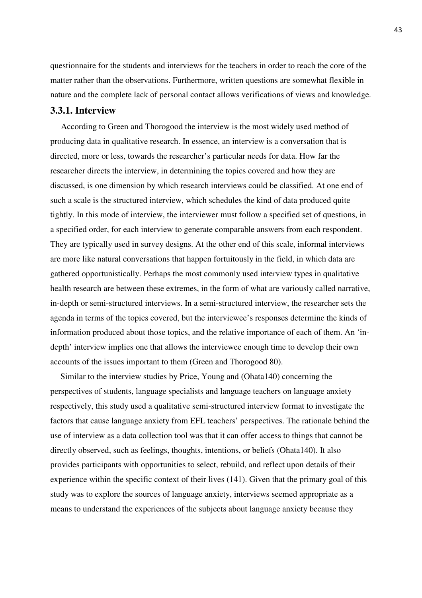questionnaire for the students and interviews for the teachers in order to reach the core of the matter rather than the observations. Furthermore, written questions are somewhat flexible in nature and the complete lack of personal contact allows verifications of views and knowledge.

## **3.3.1. Interview**

 According to Green and Thorogood the interview is the most widely used method of producing data in qualitative research. In essence, an interview is a conversation that is directed, more or less, towards the researcher's particular needs for data. How far the researcher directs the interview, in determining the topics covered and how they are discussed, is one dimension by which research interviews could be classified. At one end of such a scale is the structured interview, which schedules the kind of data produced quite tightly. In this mode of interview, the interviewer must follow a specified set of questions, in a specified order, for each interview to generate comparable answers from each respondent. They are typically used in survey designs. At the other end of this scale, informal interviews are more like natural conversations that happen fortuitously in the field, in which data are gathered opportunistically. Perhaps the most commonly used interview types in qualitative health research are between these extremes, in the form of what are variously called narrative, in-depth or semi-structured interviews. In a semi-structured interview, the researcher sets the agenda in terms of the topics covered, but the interviewee's responses determine the kinds of information produced about those topics, and the relative importance of each of them. An 'indepth' interview implies one that allows the interviewee enough time to develop their own accounts of the issues important to them (Green and Thorogood 80).

 Similar to the interview studies by Price, Young and (Ohata140) concerning the perspectives of students, language specialists and language teachers on language anxiety respectively, this study used a qualitative semi-structured interview format to investigate the factors that cause language anxiety from EFL teachers' perspectives. The rationale behind the use of interview as a data collection tool was that it can offer access to things that cannot be directly observed, such as feelings, thoughts, intentions, or beliefs (Ohata140). It also provides participants with opportunities to select, rebuild, and reflect upon details of their experience within the specific context of their lives (141). Given that the primary goal of this study was to explore the sources of language anxiety, interviews seemed appropriate as a means to understand the experiences of the subjects about language anxiety because they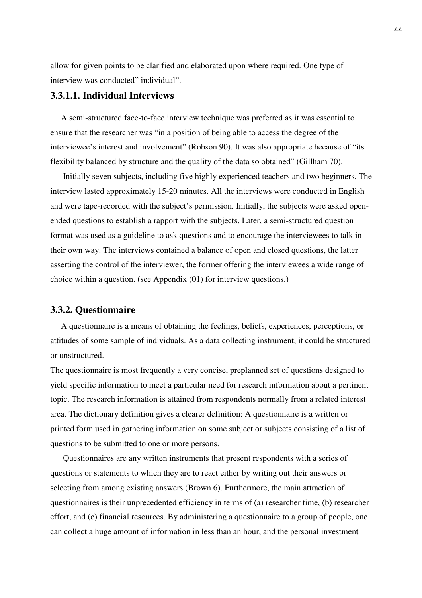allow for given points to be clarified and elaborated upon where required. One type of interview was conducted" individual".

## **3.3.1.1. Individual Interviews**

 A semi-structured face-to-face interview technique was preferred as it was essential to ensure that the researcher was "in a position of being able to access the degree of the interviewee's interest and involvement" (Robson 90). It was also appropriate because of "its flexibility balanced by structure and the quality of the data so obtained" (Gillham 70).

 Initially seven subjects, including five highly experienced teachers and two beginners. The interview lasted approximately 15-20 minutes. All the interviews were conducted in English and were tape-recorded with the subject's permission. Initially, the subjects were asked openended questions to establish a rapport with the subjects. Later, a semi-structured question format was used as a guideline to ask questions and to encourage the interviewees to talk in their own way. The interviews contained a balance of open and closed questions, the latter asserting the control of the interviewer, the former offering the interviewees a wide range of choice within a question. (see Appendix (01) for interview questions.)

## **3.3.2. Questionnaire**

 A questionnaire is a means of obtaining the feelings, beliefs, experiences, perceptions, or attitudes of some sample of individuals. As a data collecting instrument, it could be structured or unstructured.

The questionnaire is most frequently a very concise, preplanned set of questions designed to yield specific information to meet a particular need for research information about a pertinent topic. The research information is attained from respondents normally from a related interest area. The dictionary definition gives a clearer definition: A questionnaire is a written or printed form used in gathering information on some subject or subjects consisting of a list of questions to be submitted to one or more persons.

 Questionnaires are any written instruments that present respondents with a series of questions or statements to which they are to react either by writing out their answers or selecting from among existing answers (Brown 6). Furthermore, the main attraction of questionnaires is their unprecedented efficiency in terms of (a) researcher time, (b) researcher effort, and (c) financial resources. By administering a questionnaire to a group of people, one can collect a huge amount of information in less than an hour, and the personal investment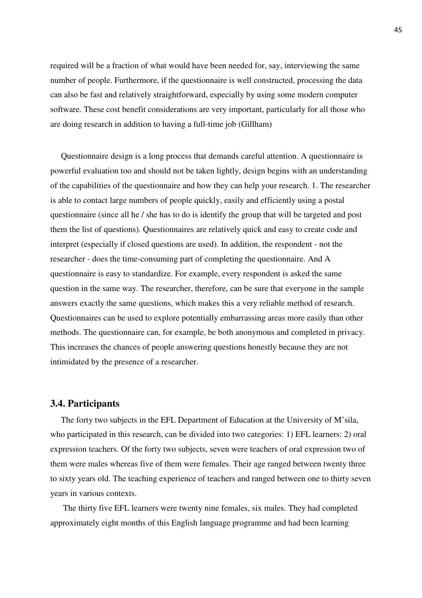required will be a fraction of what would have been needed for, say, interviewing the same number of people. Furthermore, if the questionnaire is well constructed, processing the data can also be fast and relatively straightforward, especially by using some modern computer software. These cost benefit considerations are very important, particularly for all those who are doing research in addition to having a full-time job (Gillham)

 Questionnaire design is a long process that demands careful attention. A questionnaire is powerful evaluation too and should not be taken lightly, design begins with an understanding of the capabilities of the questionnaire and how they can help your research. 1. The researcher is able to contact large numbers of people quickly, easily and efficiently using a postal questionnaire (since all he / she has to do is identify the group that will be targeted and post them the list of questions). Questionnaires are relatively quick and easy to create code and interpret (especially if closed questions are used). In addition, the respondent - not the researcher - does the time-consuming part of completing the questionnaire. And A questionnaire is easy to standardize. For example, every respondent is asked the same question in the same way. The researcher, therefore, can be sure that everyone in the sample answers exactly the same questions, which makes this a very reliable method of research. Questionnaires can be used to explore potentially embarrassing areas more easily than other methods. The questionnaire can, for example, be both anonymous and completed in privacy. This increases the chances of people answering questions honestly because they are not intimidated by the presence of a researcher.

#### **3.4. Participants**

 The forty two subjects in the EFL Department of Education at the University of M'sila, who participated in this research, can be divided into two categories: 1) EFL learners: 2) oral expression teachers. Of the forty two subjects, seven were teachers of oral expression two of them were males whereas five of them were females. Their age ranged between twenty three to sixty years old. The teaching experience of teachers and ranged between one to thirty seven years in various contexts.

 The thirty five EFL learners were twenty nine females, six males. They had completed approximately eight months of this English language programme and had been learning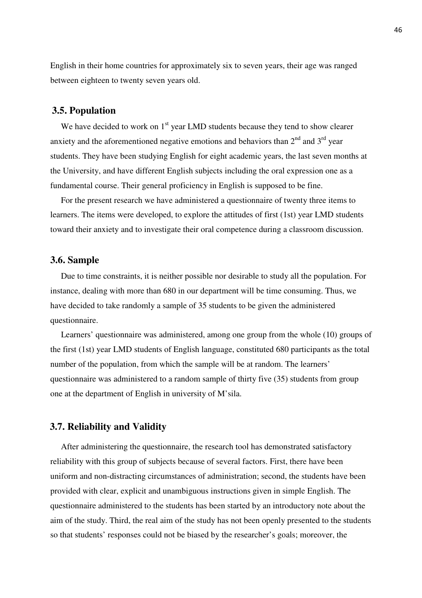English in their home countries for approximately six to seven years, their age was ranged between eighteen to twenty seven years old.

### **3.5. Population**

We have decided to work on  $1<sup>st</sup>$  year LMD students because they tend to show clearer anxiety and the aforementioned negative emotions and behaviors than  $2<sup>nd</sup>$  and  $3<sup>rd</sup>$  year students. They have been studying English for eight academic years, the last seven months at the University, and have different English subjects including the oral expression one as a fundamental course. Their general proficiency in English is supposed to be fine.

 For the present research we have administered a questionnaire of twenty three items to learners. The items were developed, to explore the attitudes of first (1st) year LMD students toward their anxiety and to investigate their oral competence during a classroom discussion.

#### **3.6. Sample**

 Due to time constraints, it is neither possible nor desirable to study all the population. For instance, dealing with more than 680 in our department will be time consuming. Thus, we have decided to take randomly a sample of 35 students to be given the administered questionnaire.

 Learners' questionnaire was administered, among one group from the whole (10) groups of the first (1st) year LMD students of English language, constituted 680 participants as the total number of the population, from which the sample will be at random. The learners' questionnaire was administered to a random sample of thirty five (35) students from group one at the department of English in university of M'sila.

## **3.7. Reliability and Validity**

 After administering the questionnaire, the research tool has demonstrated satisfactory reliability with this group of subjects because of several factors. First, there have been uniform and non-distracting circumstances of administration; second, the students have been provided with clear, explicit and unambiguous instructions given in simple English. The questionnaire administered to the students has been started by an introductory note about the aim of the study. Third, the real aim of the study has not been openly presented to the students so that students' responses could not be biased by the researcher's goals; moreover, the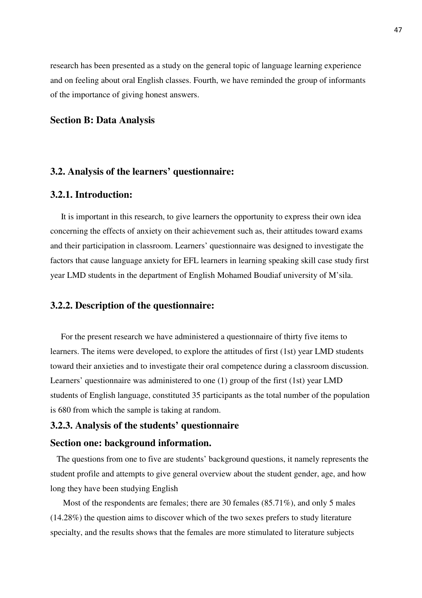research has been presented as a study on the general topic of language learning experience and on feeling about oral English classes. Fourth, we have reminded the group of informants of the importance of giving honest answers.

## **Section B: Data Analysis**

# **3.2. Analysis of the learners' questionnaire:**

## **3.2.1. Introduction:**

 It is important in this research, to give learners the opportunity to express their own idea concerning the effects of anxiety on their achievement such as, their attitudes toward exams and their participation in classroom. Learners' questionnaire was designed to investigate the factors that cause language anxiety for EFL learners in learning speaking skill case study first year LMD students in the department of English Mohamed Boudiaf university of M'sila.

#### **3.2.2. Description of the questionnaire:**

 For the present research we have administered a questionnaire of thirty five items to learners. The items were developed, to explore the attitudes of first (1st) year LMD students toward their anxieties and to investigate their oral competence during a classroom discussion. Learners' questionnaire was administered to one (1) group of the first (1st) year LMD students of English language, constituted 35 participants as the total number of the population is 680 from which the sample is taking at random.

# **3.2.3. Analysis of the students' questionnaire**

#### **Section one: background information.**

 The questions from one to five are students' background questions, it namely represents the student profile and attempts to give general overview about the student gender, age, and how long they have been studying English

 Most of the respondents are females; there are 30 females (85.71%), and only 5 males (14.28%) the question aims to discover which of the two sexes prefers to study literature specialty, and the results shows that the females are more stimulated to literature subjects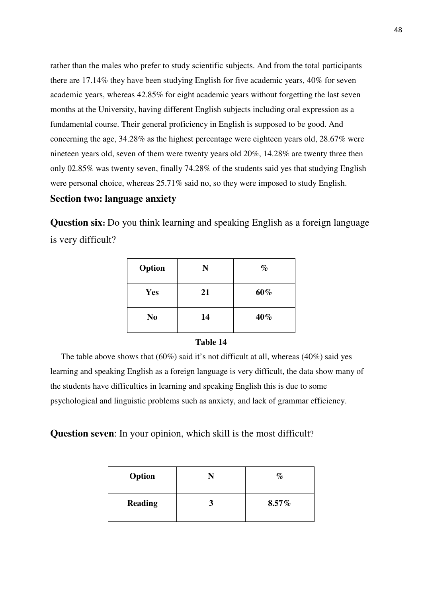rather than the males who prefer to study scientific subjects. And from the total participants there are 17.14% they have been studying English for five academic years, 40% for seven academic years, whereas 42.85% for eight academic years without forgetting the last seven months at the University, having different English subjects including oral expression as a fundamental course. Their general proficiency in English is supposed to be good. And concerning the age, 34.28% as the highest percentage were eighteen years old, 28.67% were nineteen years old, seven of them were twenty years old 20%, 14.28% are twenty three then only 02.85% was twenty seven, finally 74.28% of the students said yes that studying English were personal choice, whereas 25.71% said no, so they were imposed to study English.

# **Section two: language anxiety**

**Question six:** Do you think learning and speaking English as a foreign language is very difficult?

| Option         | N  | $\%$ |
|----------------|----|------|
| Yes            | 21 | 60%  |
| N <sub>0</sub> | 14 | 40%  |

#### **Table 14**

 The table above shows that (60%) said it's not difficult at all, whereas (40%) said yes learning and speaking English as a foreign language is very difficult, the data show many of the students have difficulties in learning and speaking English this is due to some psychological and linguistic problems such as anxiety, and lack of grammar efficiency.

**Question seven**: In your opinion, which skill is the most difficult?

| Option         | $\%$     |
|----------------|----------|
| <b>Reading</b> | $8.57\%$ |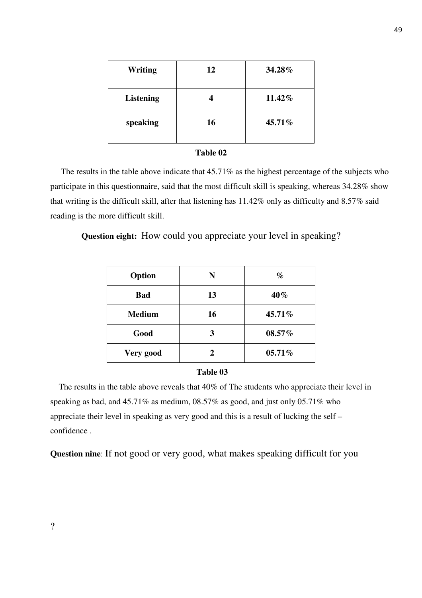| <b>Writing</b>   | 12 | 34.28% |
|------------------|----|--------|
| <b>Listening</b> |    | 11.42% |
| speaking         | 16 | 45.71% |

## **Table 02**

 The results in the table above indicate that 45.71% as the highest percentage of the subjects who participate in this questionnaire, said that the most difficult skill is speaking, whereas 34.28% show that writing is the difficult skill, after that listening has 11.42% only as difficulty and 8.57% said reading is the more difficult skill.

**Question eight:** How could you appreciate your level in speaking?

| Option        | N  | $\%$   |
|---------------|----|--------|
| <b>Bad</b>    | 13 | 40%    |
| <b>Medium</b> | 16 | 45.71% |
| Good          | 3  | 08.57% |
| Very good     | 2  | 05.71% |

#### **Table 03**

 The results in the table above reveals that 40% of The students who appreciate their level in speaking as bad, and 45.71% as medium, 08.57% as good, and just only 05.71% who appreciate their level in speaking as very good and this is a result of lucking the self – confidence .

**Question nine**: If not good or very good, what makes speaking difficult for you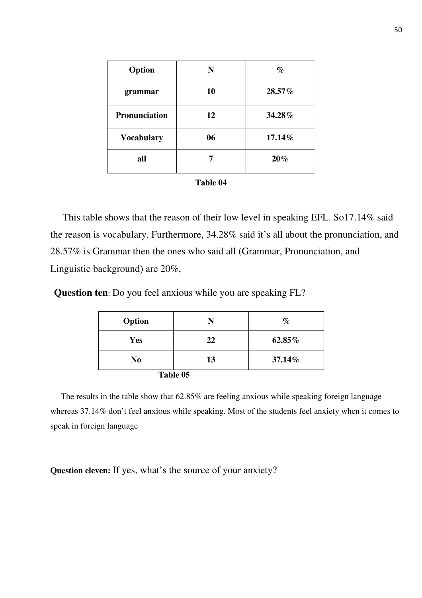| Option               | N  | $\%$   |
|----------------------|----|--------|
| grammar              | 10 | 28.57% |
| <b>Pronunciation</b> | 12 | 34.28% |
| <b>Vocabulary</b>    | 06 | 17.14% |
| all                  |    | 20%    |

 This table shows that the reason of their low level in speaking EFL. So17.14% said the reason is vocabulary. Furthermore, 34.28% said it's all about the pronunciation, and 28.57% is Grammar then the ones who said all (Grammar, Pronunciation, and Linguistic background) are 20%,

**Question ten**: Do you feel anxious while you are speaking FL?

| Option     | N        | $\%$   |
|------------|----------|--------|
| <b>Yes</b> | 22       | 62.85% |
| No         | 13       | 37.14% |
|            | Table 05 |        |

 The results in the table show that 62.85% are feeling anxious while speaking foreign language whereas 37.14% don't feel anxious while speaking. Most of the students feel anxiety when it comes to speak in foreign language

**Question eleven:** If yes, what's the source of your anxiety?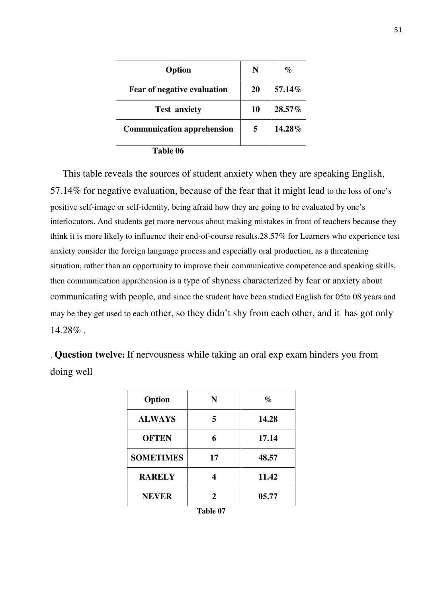| Option                             | N  | %      |
|------------------------------------|----|--------|
| <b>Fear of negative evaluation</b> | 20 | 57.14% |
| <b>Test anxiety</b>                | 10 | 28.57% |
| <b>Communication apprehension</b>  | 5  | 14.28% |
| $T_{\rm eff}$ $\Lambda$            |    |        |

 **Table 06** 

 This table reveals the sources of student anxiety when they are speaking English, 57.14% for negative evaluation, because of the fear that it might lead to the loss of one's positive self-image or self-identity, being afraid how they are going to be evaluated by one's interlocutors. And students get more nervous about making mistakes in front of teachers because they think it is more likely to influence their end-of-course results.28.57% for Learners who experience test anxiety consider the foreign language process and especially oral production, as a threatening situation, rather than an opportunity to improve their communicative competence and speaking skills, then communication apprehension is a type of shyness characterized by fear or anxiety about communicating with people, and since the student have been studied English for 05to 08 years and may be they get used to each other, so they didn't shy from each other, and it has got only 14.28% .

. **Question twelve:** If nervousness while taking an oral exp exam hinders you from doing well

| Option           | N                   | $\%$  |
|------------------|---------------------|-------|
| <b>ALWAYS</b>    | 5                   | 14.28 |
| <b>OFTEN</b>     | 6                   | 17.14 |
| <b>SOMETIMES</b> | 17                  | 48.57 |
| <b>RARELY</b>    |                     | 11.42 |
| <b>NEVER</b>     | 2                   | 05.77 |
|                  | . .<br>--<br>$\sim$ |       |

| Fable 07 |  |
|----------|--|
|----------|--|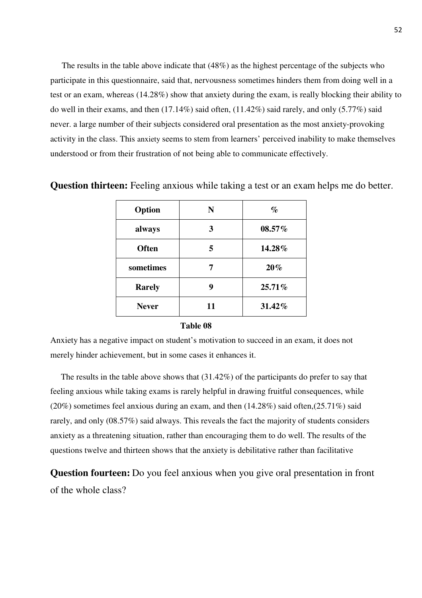The results in the table above indicate that (48%) as the highest percentage of the subjects who participate in this questionnaire, said that, nervousness sometimes hinders them from doing well in a test or an exam, whereas (14.28%) show that anxiety during the exam, is really blocking their ability to do well in their exams, and then (17.14%) said often, (11.42%) said rarely, and only (5.77%) said never. a large number of their subjects considered oral presentation as the most anxiety-provoking activity in the class. This anxiety seems to stem from learners' perceived inability to make themselves understood or from their frustration of not being able to communicate effectively.

| Option        | N  | $\%$   |
|---------------|----|--------|
| always        | 3  | 08.57% |
| <b>Often</b>  | 5  | 14.28% |
| sometimes     |    | 20%    |
| <b>Rarely</b> | 9  | 25.71% |
| <b>Never</b>  | 11 | 31.42% |

**Question thirteen:** Feeling anxious while taking a test or an exam helps me do better.

#### **Table 08**

Anxiety has a negative impact on student's motivation to succeed in an exam, it does not merely hinder achievement, but in some cases it enhances it.

 The results in the table above shows that (31.42%) of the participants do prefer to say that feeling anxious while taking exams is rarely helpful in drawing fruitful consequences, while  $(20\%)$  sometimes feel anxious during an exam, and then  $(14.28\%)$  said often, $(25.71\%)$  said rarely, and only (08.57%) said always. This reveals the fact the majority of students considers anxiety as a threatening situation, rather than encouraging them to do well. The results of the questions twelve and thirteen shows that the anxiety is debilitative rather than facilitative

**Question fourteen:** Do you feel anxious when you give oral presentation in front of the whole class?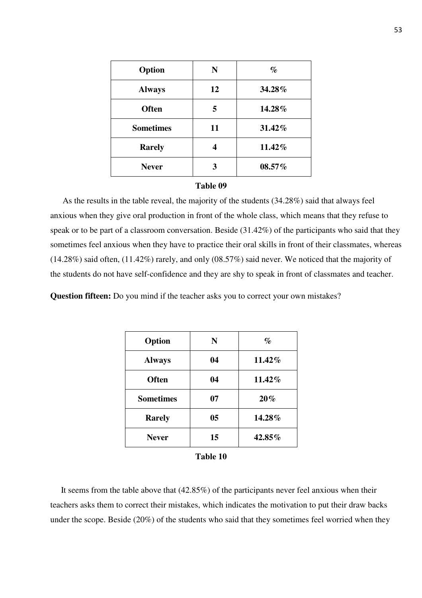| Option           | N  | $\%$   |
|------------------|----|--------|
| <b>Always</b>    | 12 | 34.28% |
| <b>Often</b>     |    | 14.28% |
| <b>Sometimes</b> | 11 | 31.42% |
| <b>Rarely</b>    |    | 11.42% |
| <b>Never</b>     |    | 08.57% |

#### **Table 09**

 As the results in the table reveal, the majority of the students (34.28%) said that always feel anxious when they give oral production in front of the whole class, which means that they refuse to speak or to be part of a classroom conversation. Beside (31.42%) of the participants who said that they sometimes feel anxious when they have to practice their oral skills in front of their classmates, whereas (14.28%) said often, (11.42%) rarely, and only (08.57%) said never. We noticed that the majority of the students do not have self-confidence and they are shy to speak in front of classmates and teacher.

**Question fifteen:** Do you mind if the teacher asks you to correct your own mistakes?

| Option           | N  | $\%$   |
|------------------|----|--------|
| <b>Always</b>    | 04 | 11.42% |
| <b>Often</b>     | 04 | 11.42% |
| <b>Sometimes</b> | 07 | 20%    |
| <b>Rarely</b>    | 05 | 14.28% |
| <b>Never</b>     | 15 | 42.85% |

| Table 10 |  |
|----------|--|
|----------|--|

 It seems from the table above that (42.85%) of the participants never feel anxious when their teachers asks them to correct their mistakes, which indicates the motivation to put their draw backs under the scope. Beside (20%) of the students who said that they sometimes feel worried when they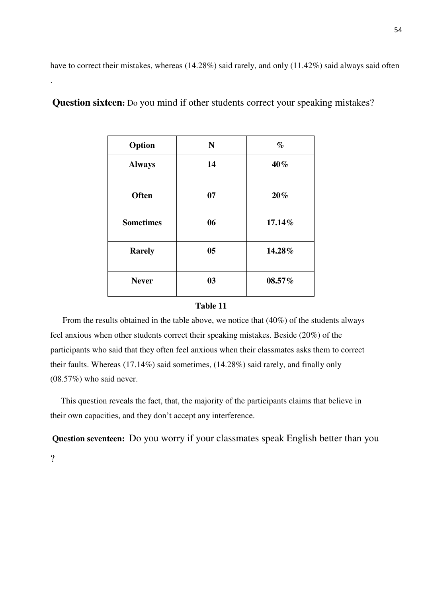have to correct their mistakes, whereas (14.28%) said rarely, and only (11.42%) said always said often

| Option           | $\mathbf N$ | $\%$   |
|------------------|-------------|--------|
| <b>Always</b>    | 14          | 40%    |
| <b>Often</b>     | 07          | 20%    |
| <b>Sometimes</b> | 06          | 17.14% |
| <b>Rarely</b>    | 05          | 14.28% |
| <b>Never</b>     | 03          | 08.57% |

**Question sixteen:** Do you mind if other students correct your speaking mistakes?

#### **Table 11**

 From the results obtained in the table above, we notice that (40%) of the students always feel anxious when other students correct their speaking mistakes. Beside (20%) of the participants who said that they often feel anxious when their classmates asks them to correct their faults. Whereas (17.14%) said sometimes, (14.28%) said rarely, and finally only (08.57%) who said never.

 This question reveals the fact, that, the majority of the participants claims that believe in their own capacities, and they don't accept any interference.

**Question seventeen:** Do you worry if your classmates speak English better than you

?

.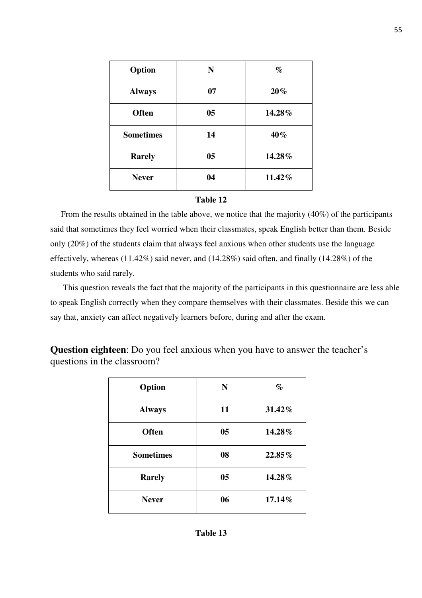| Option           | N              | $\%$   |
|------------------|----------------|--------|
| <b>Always</b>    | 07             | 20%    |
| <b>Often</b>     | 0 <sub>5</sub> | 14.28% |
| <b>Sometimes</b> | 14             | 40%    |
| <b>Rarely</b>    | 0 <sub>5</sub> | 14.28% |
| <b>Never</b>     | 04             | 11.42% |

#### **Table 12**

 From the results obtained in the table above, we notice that the majority (40%) of the participants said that sometimes they feel worried when their classmates, speak English better than them. Beside only (20%) of the students claim that always feel anxious when other students use the language effectively, whereas (11.42%) said never, and (14.28%) said often, and finally (14.28%) of the students who said rarely.

 This question reveals the fact that the majority of the participants in this questionnaire are less able to speak English correctly when they compare themselves with their classmates. Beside this we can say that, anxiety can affect negatively learners before, during and after the exam.

**Question eighteen**: Do you feel anxious when you have to answer the teacher's questions in the classroom?

| Option           | N              | $\%$   |
|------------------|----------------|--------|
| <b>Always</b>    | 11             | 31.42% |
| <b>Often</b>     | 05             | 14.28% |
| <b>Sometimes</b> | 08             | 22.85% |
| <b>Rarely</b>    | 0 <sub>5</sub> | 14.28% |
| <b>Never</b>     | 06             | 17.14% |

## **Table 13**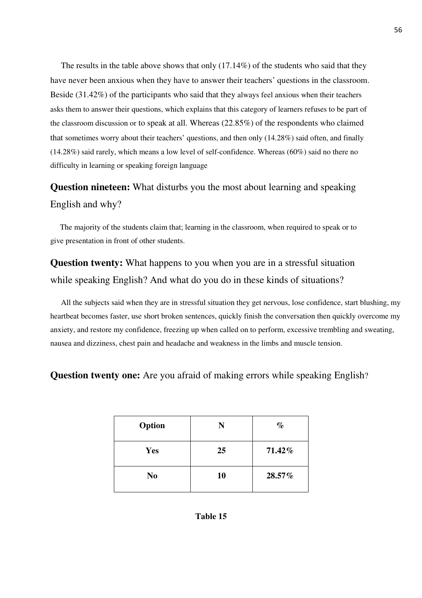The results in the table above shows that only (17.14%) of the students who said that they have never been anxious when they have to answer their teachers' questions in the classroom. Beside (31.42%) of the participants who said that they always feel anxious when their teachers asks them to answer their questions, which explains that this category of learners refuses to be part of the classroom discussion or to speak at all. Whereas (22.85%) of the respondents who claimed that sometimes worry about their teachers' questions, and then only (14.28%) said often, and finally (14.28%) said rarely, which means a low level of self-confidence. Whereas (60%) said no there no difficulty in learning or speaking foreign language

# **Question nineteen:** What disturbs you the most about learning and speaking English and why?

 The majority of the students claim that; learning in the classroom, when required to speak or to give presentation in front of other students.

**Question twenty:** What happens to you when you are in a stressful situation while speaking English? And what do you do in these kinds of situations?

 All the subjects said when they are in stressful situation they get nervous, lose confidence, start blushing, my heartbeat becomes faster, use short broken sentences, quickly finish the conversation then quickly overcome my anxiety, and restore my confidence, freezing up when called on to perform, excessive trembling and sweating, nausea and dizziness, chest pain and headache and weakness in the limbs and muscle tension.

**Question twenty one:** Are you afraid of making errors while speaking English?

| Option         | N  | $\%$   |
|----------------|----|--------|
| Yes            | 25 | 71.42% |
| N <sub>0</sub> | 10 | 28.57% |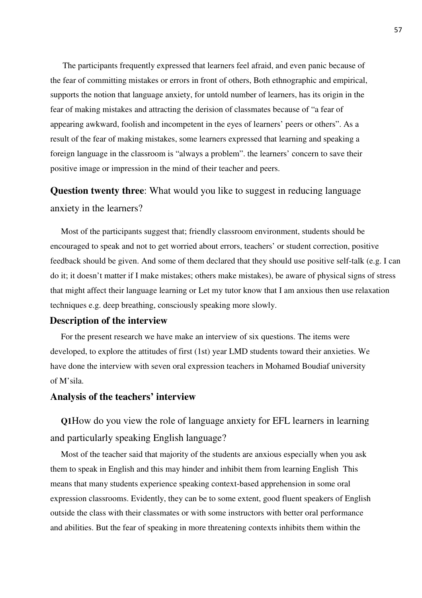The participants frequently expressed that learners feel afraid, and even panic because of the fear of committing mistakes or errors in front of others, Both ethnographic and empirical, supports the notion that language anxiety, for untold number of learners, has its origin in the fear of making mistakes and attracting the derision of classmates because of "a fear of appearing awkward, foolish and incompetent in the eyes of learners' peers or others". As a result of the fear of making mistakes, some learners expressed that learning and speaking a foreign language in the classroom is "always a problem". the learners' concern to save their positive image or impression in the mind of their teacher and peers.

# **Question twenty three**: What would you like to suggest in reducing language anxiety in the learners?

 Most of the participants suggest that; friendly classroom environment, students should be encouraged to speak and not to get worried about errors, teachers' or student correction, positive feedback should be given. And some of them declared that they should use positive self-talk (e.g. I can do it; it doesn't matter if I make mistakes; others make mistakes), be aware of physical signs of stress that might affect their language learning or Let my tutor know that I am anxious then use relaxation techniques e.g. deep breathing, consciously speaking more slowly.

#### **Description of the interview**

 For the present research we have make an interview of six questions. The items were developed, to explore the attitudes of first (1st) year LMD students toward their anxieties. We have done the interview with seven oral expression teachers in Mohamed Boudiaf university of M'sila.

## **Analysis of the teachers' interview**

 **Q1**How do you view the role of language anxiety for EFL learners in learning and particularly speaking English language?

 Most of the teacher said that majority of the students are anxious especially when you ask them to speak in English and this may hinder and inhibit them from learning English This means that many students experience speaking context-based apprehension in some oral expression classrooms. Evidently, they can be to some extent, good fluent speakers of English outside the class with their classmates or with some instructors with better oral performance and abilities. But the fear of speaking in more threatening contexts inhibits them within the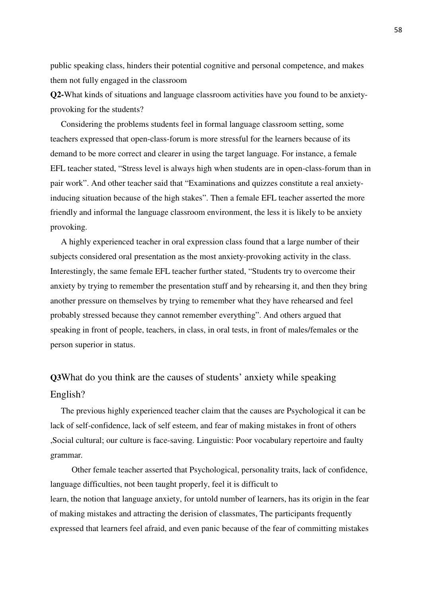public speaking class, hinders their potential cognitive and personal competence, and makes them not fully engaged in the classroom

**Q2-**What kinds of situations and language classroom activities have you found to be anxietyprovoking for the students?

 Considering the problems students feel in formal language classroom setting, some teachers expressed that open-class-forum is more stressful for the learners because of its demand to be more correct and clearer in using the target language. For instance, a female EFL teacher stated, "Stress level is always high when students are in open-class-forum than in pair work". And other teacher said that "Examinations and quizzes constitute a real anxietyinducing situation because of the high stakes". Then a female EFL teacher asserted the more friendly and informal the language classroom environment, the less it is likely to be anxiety provoking.

 A highly experienced teacher in oral expression class found that a large number of their subjects considered oral presentation as the most anxiety-provoking activity in the class. Interestingly, the same female EFL teacher further stated, "Students try to overcome their anxiety by trying to remember the presentation stuff and by rehearsing it, and then they bring another pressure on themselves by trying to remember what they have rehearsed and feel probably stressed because they cannot remember everything". And others argued that speaking in front of people, teachers, in class, in oral tests, in front of males/females or the person superior in status.

# **Q3**What do you think are the causes of students' anxiety while speaking English?

 The previous highly experienced teacher claim that the causes are Psychological it can be lack of self-confidence, lack of self esteem, and fear of making mistakes in front of others ,Social cultural; our culture is face-saving. Linguistic: Poor vocabulary repertoire and faulty grammar*.*

 Other female teacher asserted that Psychological, personality traits, lack of confidence, language difficulties, not been taught properly, feel it is difficult to learn, the notion that language anxiety, for untold number of learners, has its origin in the fear of making mistakes and attracting the derision of classmates, The participants frequently expressed that learners feel afraid, and even panic because of the fear of committing mistakes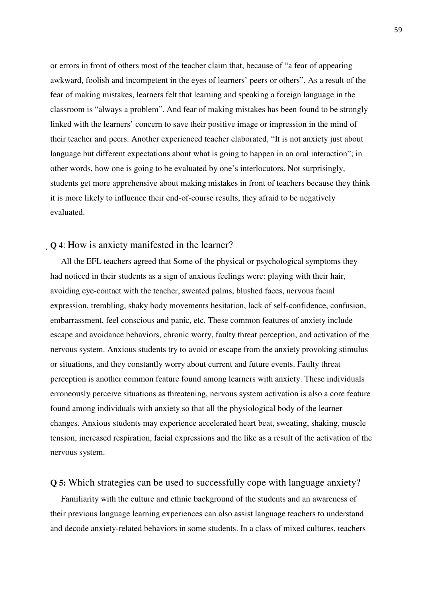or errors in front of others most of the teacher claim that, because of "a fear of appearing awkward, foolish and incompetent in the eyes of learners' peers or others". As a result of the fear of making mistakes, learners felt that learning and speaking a foreign language in the classroom is "always a problem". And fear of making mistakes has been found to be strongly linked with the learners' concern to save their positive image or impression in the mind of their teacher and peers. Another experienced teacher elaborated, "It is not anxiety just about language but different expectations about what is going to happen in an oral interaction"; in other words, how one is going to be evaluated by one's interlocutors. Not surprisingly, students get more apprehensive about making mistakes in front of teachers because they think it is more likely to influence their end-of-course results, they afraid to be negatively evaluated.

# **Q 4**: How is anxiety manifested in the learner?

 All the EFL teachers agreed that Some of the physical or psychological symptoms they had noticed in their students as a sign of anxious feelings were: playing with their hair, avoiding eye-contact with the teacher, sweated palms, blushed faces, nervous facial expression, trembling, shaky body movements hesitation, lack of self-confidence, confusion, embarrassment, feel conscious and panic, etc. These common features of anxiety include escape and avoidance behaviors, chronic worry, faulty threat perception, and activation of the nervous system. Anxious students try to avoid or escape from the anxiety provoking stimulus or situations, and they constantly worry about current and future events. Faulty threat perception is another common feature found among learners with anxiety. These individuals erroneously perceive situations as threatening, nervous system activation is also a core feature found among individuals with anxiety so that all the physiological body of the learner changes. Anxious students may experience accelerated heart beat, sweating, shaking, muscle tension, increased respiration, facial expressions and the like as a result of the activation of the nervous system.

## **Q 5:** Which strategies can be used to successfully cope with language anxiety?

 Familiarity with the culture and ethnic background of the students and an awareness of their previous language learning experiences can also assist language teachers to understand and decode anxiety-related behaviors in some students. In a class of mixed cultures, teachers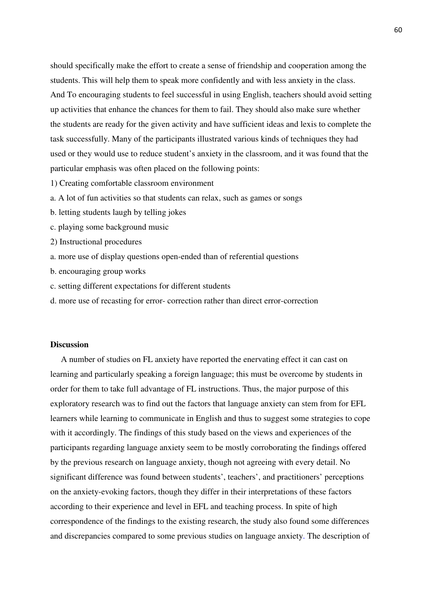should specifically make the effort to create a sense of friendship and cooperation among the students. This will help them to speak more confidently and with less anxiety in the class. And To encouraging students to feel successful in using English, teachers should avoid setting up activities that enhance the chances for them to fail. They should also make sure whether the students are ready for the given activity and have sufficient ideas and lexis to complete the task successfully. Many of the participants illustrated various kinds of techniques they had used or they would use to reduce student's anxiety in the classroom, and it was found that the particular emphasis was often placed on the following points:

- 1) Creating comfortable classroom environment
- a. A lot of fun activities so that students can relax, such as games or songs
- b. letting students laugh by telling jokes
- c. playing some background music
- 2) Instructional procedures
- a. more use of display questions open-ended than of referential questions
- b. encouraging group works
- c. setting different expectations for different students
- d. more use of recasting for error- correction rather than direct error-correction

#### **Discussion**

 A number of studies on FL anxiety have reported the enervating effect it can cast on learning and particularly speaking a foreign language; this must be overcome by students in order for them to take full advantage of FL instructions. Thus, the major purpose of this exploratory research was to find out the factors that language anxiety can stem from for EFL learners while learning to communicate in English and thus to suggest some strategies to cope with it accordingly. The findings of this study based on the views and experiences of the participants regarding language anxiety seem to be mostly corroborating the findings offered by the previous research on language anxiety, though not agreeing with every detail. No significant difference was found between students', teachers', and practitioners' perceptions on the anxiety-evoking factors, though they differ in their interpretations of these factors according to their experience and level in EFL and teaching process. In spite of high correspondence of the findings to the existing research, the study also found some differences and discrepancies compared to some previous studies on language anxiety. The description of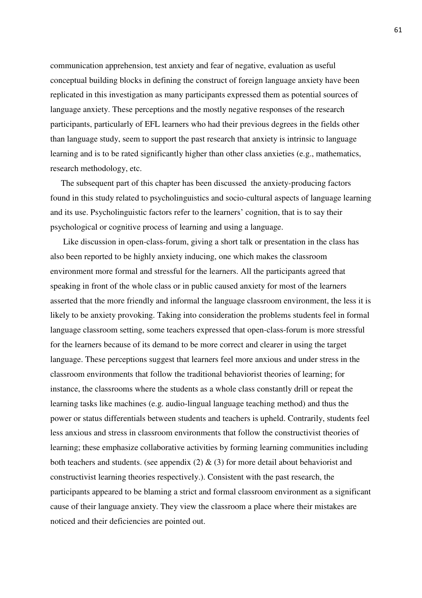communication apprehension, test anxiety and fear of negative, evaluation as useful conceptual building blocks in defining the construct of foreign language anxiety have been replicated in this investigation as many participants expressed them as potential sources of language anxiety. These perceptions and the mostly negative responses of the research participants, particularly of EFL learners who had their previous degrees in the fields other than language study, seem to support the past research that anxiety is intrinsic to language learning and is to be rated significantly higher than other class anxieties (e.g., mathematics, research methodology, etc.

 The subsequent part of this chapter has been discussed the anxiety-producing factors found in this study related to psycholinguistics and socio-cultural aspects of language learning and its use. Psycholinguistic factors refer to the learners' cognition, that is to say their psychological or cognitive process of learning and using a language.

 Like discussion in open-class-forum, giving a short talk or presentation in the class has also been reported to be highly anxiety inducing, one which makes the classroom environment more formal and stressful for the learners. All the participants agreed that speaking in front of the whole class or in public caused anxiety for most of the learners asserted that the more friendly and informal the language classroom environment, the less it is likely to be anxiety provoking. Taking into consideration the problems students feel in formal language classroom setting, some teachers expressed that open-class-forum is more stressful for the learners because of its demand to be more correct and clearer in using the target language. These perceptions suggest that learners feel more anxious and under stress in the classroom environments that follow the traditional behaviorist theories of learning; for instance, the classrooms where the students as a whole class constantly drill or repeat the learning tasks like machines (e.g. audio-lingual language teaching method) and thus the power or status differentials between students and teachers is upheld. Contrarily, students feel less anxious and stress in classroom environments that follow the constructivist theories of learning; these emphasize collaborative activities by forming learning communities including both teachers and students. (see appendix  $(2)$  &  $(3)$  for more detail about behaviorist and constructivist learning theories respectively.). Consistent with the past research, the participants appeared to be blaming a strict and formal classroom environment as a significant cause of their language anxiety. They view the classroom a place where their mistakes are noticed and their deficiencies are pointed out.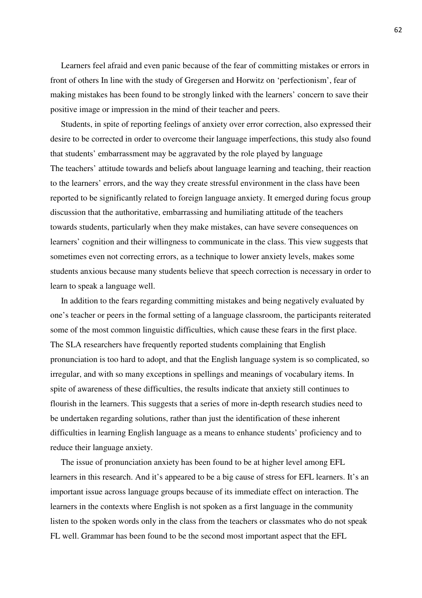Learners feel afraid and even panic because of the fear of committing mistakes or errors in front of others In line with the study of Gregersen and Horwitz on 'perfectionism', fear of making mistakes has been found to be strongly linked with the learners' concern to save their positive image or impression in the mind of their teacher and peers.

 Students, in spite of reporting feelings of anxiety over error correction, also expressed their desire to be corrected in order to overcome their language imperfections, this study also found that students' embarrassment may be aggravated by the role played by language The teachers' attitude towards and beliefs about language learning and teaching, their reaction to the learners' errors, and the way they create stressful environment in the class have been reported to be significantly related to foreign language anxiety. It emerged during focus group discussion that the authoritative, embarrassing and humiliating attitude of the teachers towards students, particularly when they make mistakes, can have severe consequences on learners' cognition and their willingness to communicate in the class. This view suggests that sometimes even not correcting errors, as a technique to lower anxiety levels, makes some students anxious because many students believe that speech correction is necessary in order to learn to speak a language well.

 In addition to the fears regarding committing mistakes and being negatively evaluated by one's teacher or peers in the formal setting of a language classroom, the participants reiterated some of the most common linguistic difficulties, which cause these fears in the first place. The SLA researchers have frequently reported students complaining that English pronunciation is too hard to adopt, and that the English language system is so complicated, so irregular, and with so many exceptions in spellings and meanings of vocabulary items. In spite of awareness of these difficulties, the results indicate that anxiety still continues to flourish in the learners. This suggests that a series of more in-depth research studies need to be undertaken regarding solutions, rather than just the identification of these inherent difficulties in learning English language as a means to enhance students' proficiency and to reduce their language anxiety.

 The issue of pronunciation anxiety has been found to be at higher level among EFL learners in this research. And it's appeared to be a big cause of stress for EFL learners. It's an important issue across language groups because of its immediate effect on interaction. The learners in the contexts where English is not spoken as a first language in the community listen to the spoken words only in the class from the teachers or classmates who do not speak FL well. Grammar has been found to be the second most important aspect that the EFL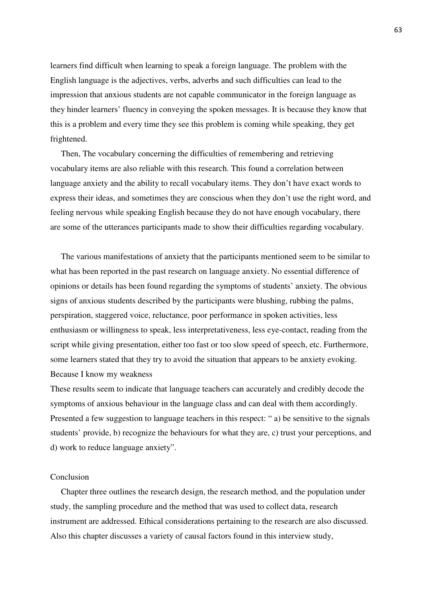learners find difficult when learning to speak a foreign language. The problem with the English language is the adjectives, verbs, adverbs and such difficulties can lead to the impression that anxious students are not capable communicator in the foreign language as they hinder learners' fluency in conveying the spoken messages. It is because they know that this is a problem and every time they see this problem is coming while speaking, they get frightened.

 Then, The vocabulary concerning the difficulties of remembering and retrieving vocabulary items are also reliable with this research. This found a correlation between language anxiety and the ability to recall vocabulary items. They don't have exact words to express their ideas, and sometimes they are conscious when they don't use the right word, and feeling nervous while speaking English because they do not have enough vocabulary, there are some of the utterances participants made to show their difficulties regarding vocabulary.

 The various manifestations of anxiety that the participants mentioned seem to be similar to what has been reported in the past research on language anxiety. No essential difference of opinions or details has been found regarding the symptoms of students' anxiety. The obvious signs of anxious students described by the participants were blushing, rubbing the palms, perspiration, staggered voice, reluctance, poor performance in spoken activities, less enthusiasm or willingness to speak, less interpretativeness, less eye-contact, reading from the script while giving presentation, either too fast or too slow speed of speech, etc. Furthermore, some learners stated that they try to avoid the situation that appears to be anxiety evoking. Because I know my weakness

These results seem to indicate that language teachers can accurately and credibly decode the symptoms of anxious behaviour in the language class and can deal with them accordingly. Presented a few suggestion to language teachers in this respect: " a) be sensitive to the signals students' provide, b) recognize the behaviours for what they are, c) trust your perceptions, and d) work to reduce language anxiety".

#### Conclusion

 Chapter three outlines the research design, the research method, and the population under study, the sampling procedure and the method that was used to collect data, research instrument are addressed. Ethical considerations pertaining to the research are also discussed. Also this chapter discusses a variety of causal factors found in this interview study,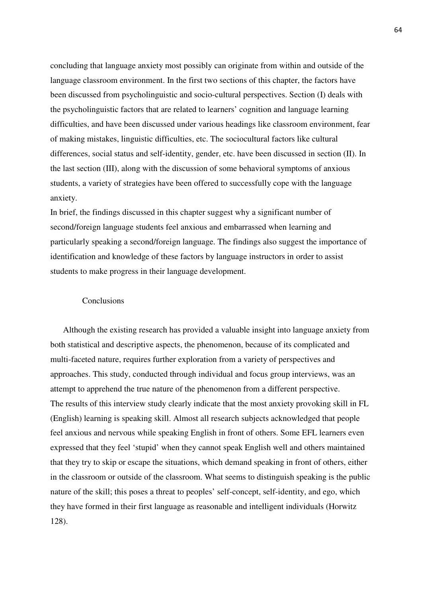concluding that language anxiety most possibly can originate from within and outside of the language classroom environment. In the first two sections of this chapter, the factors have been discussed from psycholinguistic and socio-cultural perspectives. Section (I) deals with the psycholinguistic factors that are related to learners' cognition and language learning difficulties, and have been discussed under various headings like classroom environment, fear of making mistakes, linguistic difficulties, etc. The sociocultural factors like cultural differences, social status and self-identity, gender, etc. have been discussed in section (II). In the last section (III), along with the discussion of some behavioral symptoms of anxious students, a variety of strategies have been offered to successfully cope with the language anxiety.

In brief, the findings discussed in this chapter suggest why a significant number of second/foreign language students feel anxious and embarrassed when learning and particularly speaking a second/foreign language. The findings also suggest the importance of identification and knowledge of these factors by language instructors in order to assist students to make progress in their language development.

## Conclusions

 Although the existing research has provided a valuable insight into language anxiety from both statistical and descriptive aspects, the phenomenon, because of its complicated and multi-faceted nature, requires further exploration from a variety of perspectives and approaches. This study, conducted through individual and focus group interviews, was an attempt to apprehend the true nature of the phenomenon from a different perspective. The results of this interview study clearly indicate that the most anxiety provoking skill in FL (English) learning is speaking skill. Almost all research subjects acknowledged that people feel anxious and nervous while speaking English in front of others. Some EFL learners even expressed that they feel 'stupid' when they cannot speak English well and others maintained that they try to skip or escape the situations, which demand speaking in front of others, either in the classroom or outside of the classroom. What seems to distinguish speaking is the public nature of the skill; this poses a threat to peoples' self-concept, self-identity, and ego, which they have formed in their first language as reasonable and intelligent individuals (Horwitz 128).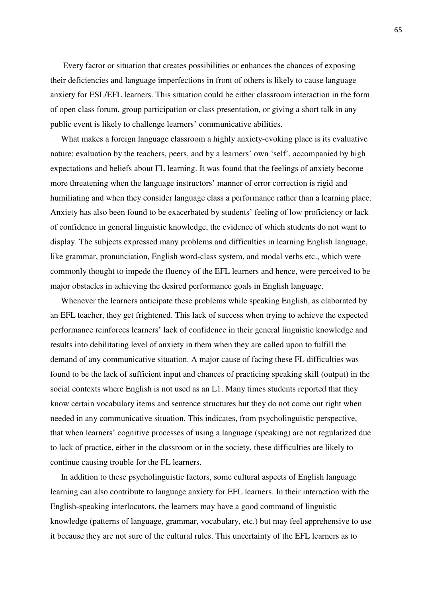Every factor or situation that creates possibilities or enhances the chances of exposing their deficiencies and language imperfections in front of others is likely to cause language anxiety for ESL/EFL learners. This situation could be either classroom interaction in the form of open class forum, group participation or class presentation, or giving a short talk in any public event is likely to challenge learners' communicative abilities.

 What makes a foreign language classroom a highly anxiety-evoking place is its evaluative nature: evaluation by the teachers, peers, and by a learners' own 'self', accompanied by high expectations and beliefs about FL learning. It was found that the feelings of anxiety become more threatening when the language instructors' manner of error correction is rigid and humiliating and when they consider language class a performance rather than a learning place. Anxiety has also been found to be exacerbated by students' feeling of low proficiency or lack of confidence in general linguistic knowledge, the evidence of which students do not want to display. The subjects expressed many problems and difficulties in learning English language, like grammar, pronunciation, English word-class system, and modal verbs etc., which were commonly thought to impede the fluency of the EFL learners and hence, were perceived to be major obstacles in achieving the desired performance goals in English language.

 Whenever the learners anticipate these problems while speaking English, as elaborated by an EFL teacher, they get frightened. This lack of success when trying to achieve the expected performance reinforces learners' lack of confidence in their general linguistic knowledge and results into debilitating level of anxiety in them when they are called upon to fulfill the demand of any communicative situation. A major cause of facing these FL difficulties was found to be the lack of sufficient input and chances of practicing speaking skill (output) in the social contexts where English is not used as an L1. Many times students reported that they know certain vocabulary items and sentence structures but they do not come out right when needed in any communicative situation. This indicates, from psycholinguistic perspective, that when learners' cognitive processes of using a language (speaking) are not regularized due to lack of practice, either in the classroom or in the society, these difficulties are likely to continue causing trouble for the FL learners.

 In addition to these psycholinguistic factors, some cultural aspects of English language learning can also contribute to language anxiety for EFL learners. In their interaction with the English-speaking interlocutors, the learners may have a good command of linguistic knowledge (patterns of language, grammar, vocabulary, etc.) but may feel apprehensive to use it because they are not sure of the cultural rules. This uncertainty of the EFL learners as to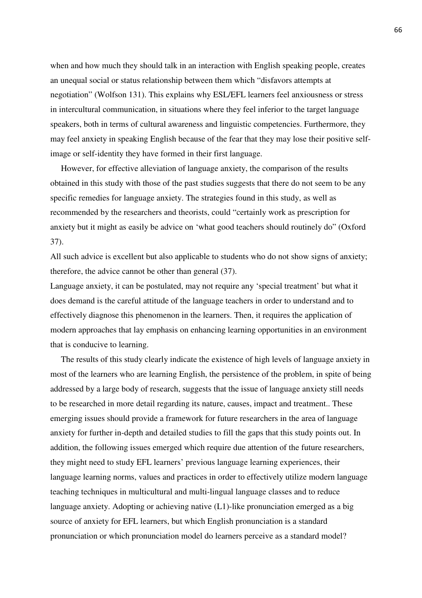when and how much they should talk in an interaction with English speaking people, creates an unequal social or status relationship between them which "disfavors attempts at negotiation" (Wolfson 131). This explains why ESL/EFL learners feel anxiousness or stress in intercultural communication, in situations where they feel inferior to the target language speakers, both in terms of cultural awareness and linguistic competencies. Furthermore, they may feel anxiety in speaking English because of the fear that they may lose their positive selfimage or self-identity they have formed in their first language.

 However, for effective alleviation of language anxiety, the comparison of the results obtained in this study with those of the past studies suggests that there do not seem to be any specific remedies for language anxiety. The strategies found in this study, as well as recommended by the researchers and theorists, could "certainly work as prescription for anxiety but it might as easily be advice on 'what good teachers should routinely do" (Oxford 37).

All such advice is excellent but also applicable to students who do not show signs of anxiety; therefore, the advice cannot be other than general (37).

Language anxiety, it can be postulated, may not require any 'special treatment' but what it does demand is the careful attitude of the language teachers in order to understand and to effectively diagnose this phenomenon in the learners. Then, it requires the application of modern approaches that lay emphasis on enhancing learning opportunities in an environment that is conducive to learning.

 The results of this study clearly indicate the existence of high levels of language anxiety in most of the learners who are learning English, the persistence of the problem, in spite of being addressed by a large body of research, suggests that the issue of language anxiety still needs to be researched in more detail regarding its nature, causes, impact and treatment.. These emerging issues should provide a framework for future researchers in the area of language anxiety for further in-depth and detailed studies to fill the gaps that this study points out. In addition, the following issues emerged which require due attention of the future researchers, they might need to study EFL learners' previous language learning experiences, their language learning norms, values and practices in order to effectively utilize modern language teaching techniques in multicultural and multi-lingual language classes and to reduce language anxiety. Adopting or achieving native (L1)-like pronunciation emerged as a big source of anxiety for EFL learners, but which English pronunciation is a standard pronunciation or which pronunciation model do learners perceive as a standard model?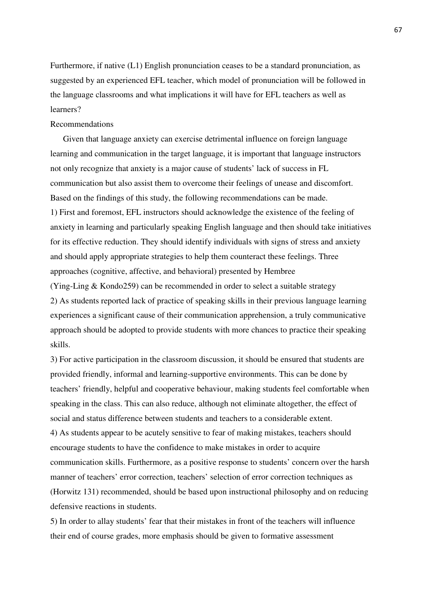Furthermore, if native (L1) English pronunciation ceases to be a standard pronunciation, as suggested by an experienced EFL teacher, which model of pronunciation will be followed in the language classrooms and what implications it will have for EFL teachers as well as learners?

### Recommendations

 Given that language anxiety can exercise detrimental influence on foreign language learning and communication in the target language, it is important that language instructors not only recognize that anxiety is a major cause of students' lack of success in FL communication but also assist them to overcome their feelings of unease and discomfort. Based on the findings of this study, the following recommendations can be made. 1) First and foremost, EFL instructors should acknowledge the existence of the feeling of anxiety in learning and particularly speaking English language and then should take initiatives for its effective reduction. They should identify individuals with signs of stress and anxiety and should apply appropriate strategies to help them counteract these feelings. Three approaches (cognitive, affective, and behavioral) presented by Hembree

(Ying-Ling & Kondo259) can be recommended in order to select a suitable strategy 2) As students reported lack of practice of speaking skills in their previous language learning experiences a significant cause of their communication apprehension, a truly communicative approach should be adopted to provide students with more chances to practice their speaking skills.

3) For active participation in the classroom discussion, it should be ensured that students are provided friendly, informal and learning-supportive environments. This can be done by teachers' friendly, helpful and cooperative behaviour, making students feel comfortable when speaking in the class. This can also reduce, although not eliminate altogether, the effect of social and status difference between students and teachers to a considerable extent. 4) As students appear to be acutely sensitive to fear of making mistakes, teachers should encourage students to have the confidence to make mistakes in order to acquire communication skills. Furthermore, as a positive response to students' concern over the harsh manner of teachers' error correction, teachers' selection of error correction techniques as (Horwitz 131) recommended, should be based upon instructional philosophy and on reducing defensive reactions in students.

5) In order to allay students' fear that their mistakes in front of the teachers will influence their end of course grades, more emphasis should be given to formative assessment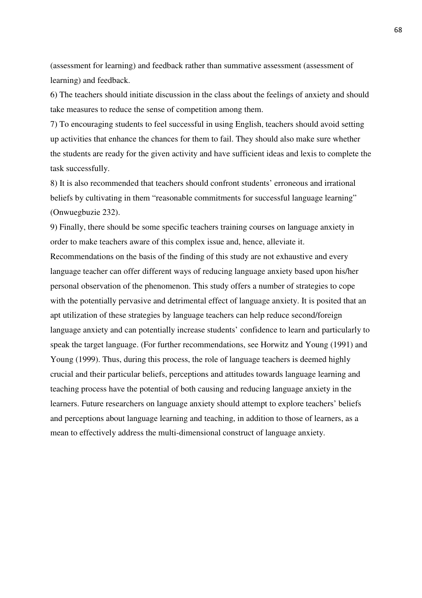(assessment for learning) and feedback rather than summative assessment (assessment of learning) and feedback.

6) The teachers should initiate discussion in the class about the feelings of anxiety and should take measures to reduce the sense of competition among them.

7) To encouraging students to feel successful in using English, teachers should avoid setting up activities that enhance the chances for them to fail. They should also make sure whether the students are ready for the given activity and have sufficient ideas and lexis to complete the task successfully.

8) It is also recommended that teachers should confront students' erroneous and irrational beliefs by cultivating in them "reasonable commitments for successful language learning" (Onwuegbuzie 232).

9) Finally, there should be some specific teachers training courses on language anxiety in order to make teachers aware of this complex issue and, hence, alleviate it.

Recommendations on the basis of the finding of this study are not exhaustive and every language teacher can offer different ways of reducing language anxiety based upon his/her personal observation of the phenomenon. This study offers a number of strategies to cope with the potentially pervasive and detrimental effect of language anxiety. It is posited that an apt utilization of these strategies by language teachers can help reduce second/foreign language anxiety and can potentially increase students' confidence to learn and particularly to speak the target language. (For further recommendations, see Horwitz and Young (1991) and Young (1999). Thus, during this process, the role of language teachers is deemed highly crucial and their particular beliefs, perceptions and attitudes towards language learning and teaching process have the potential of both causing and reducing language anxiety in the learners. Future researchers on language anxiety should attempt to explore teachers' beliefs and perceptions about language learning and teaching, in addition to those of learners, as a mean to effectively address the multi-dimensional construct of language anxiety.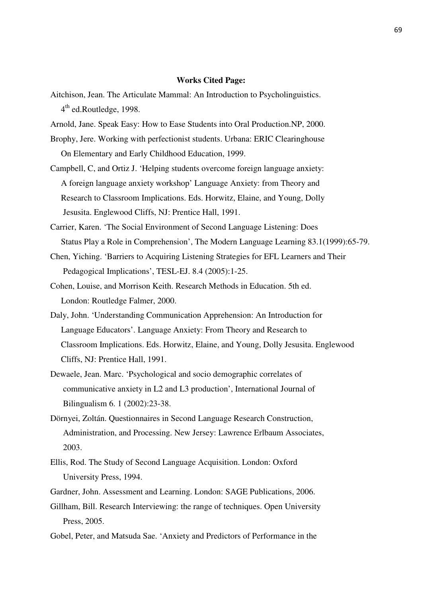### **Works Cited Page:**

Aitchison, Jean. The Articulate Mammal: An Introduction to Psycholinguistics. 4<sup>th</sup> ed.Routledge, 1998.

Arnold, Jane. Speak Easy: How to Ease Students into Oral Production.NP, 2000.

- Brophy, Jere. Working with perfectionist students. Urbana: ERIC Clearinghouse On Elementary and Early Childhood Education, 1999.
- Campbell, C, and Ortiz J. 'Helping students overcome foreign language anxiety: A foreign language anxiety workshop' Language Anxiety: from Theory and Research to Classroom Implications. Eds. Horwitz, Elaine, and Young, Dolly Jesusita. Englewood Cliffs, NJ: Prentice Hall, 1991.
- Carrier, Karen. 'The Social Environment of Second Language Listening: Does Status Play a Role in Comprehension', The Modern Language Learning 83.1(1999):65-79.
- Chen, Yiching. 'Barriers to Acquiring Listening Strategies for EFL Learners and Their Pedagogical Implications', TESL-EJ. 8.4 (2005):1-25.
- Cohen, Louise, and Morrison Keith. Research Methods in Education. 5th ed. London: Routledge Falmer, 2000.
- Daly, John. 'Understanding Communication Apprehension: An Introduction for Language Educators'. Language Anxiety: From Theory and Research to Classroom Implications. Eds. Horwitz, Elaine, and Young, Dolly Jesusita. Englewood Cliffs, NJ: Prentice Hall, 1991.
- Dewaele, Jean. Marc. 'Psychological and socio demographic correlates of communicative anxiety in L2 and L3 production', International Journal of Bilingualism 6. 1 (2002):23-38.
- Dörnyei, Zoltán. Questionnaires in Second Language Research Construction, Administration, and Processing. New Jersey: Lawrence Erlbaum Associates, 2003.
- Ellis, Rod. The Study of Second Language Acquisition. London: Oxford University Press, 1994.
- Gardner, John. Assessment and Learning. London: SAGE Publications, 2006.
- Gillham, Bill. Research Interviewing: the range of techniques. Open University Press, 2005.
- Gobel, Peter, and Matsuda Sae. 'Anxiety and Predictors of Performance in the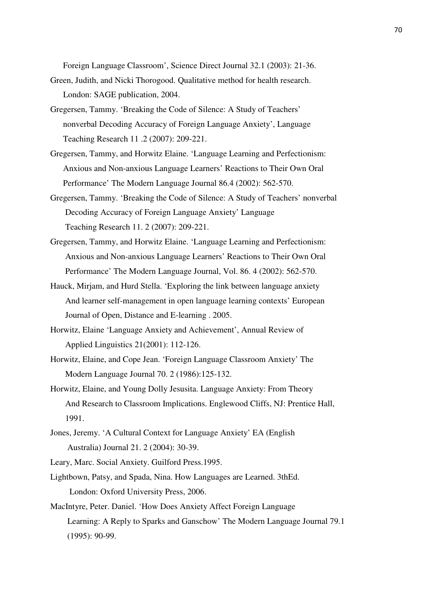Foreign Language Classroom', Science Direct Journal 32.1 (2003): 21-36.

- Green, Judith, and Nicki Thorogood. Qualitative method for health research. London: SAGE publication, 2004.
- Gregersen, Tammy. 'Breaking the Code of Silence: A Study of Teachers' nonverbal Decoding Accuracy of Foreign Language Anxiety', Language Teaching Research 11 .2 (2007): 209-221.
- Gregersen, Tammy, and Horwitz Elaine. 'Language Learning and Perfectionism: Anxious and Non-anxious Language Learners' Reactions to Their Own Oral Performance' The Modern Language Journal 86.4 (2002): 562-570.
- Gregersen, Tammy. 'Breaking the Code of Silence: A Study of Teachers' nonverbal Decoding Accuracy of Foreign Language Anxiety' Language Teaching Research 11. 2 (2007): 209-221.
- Gregersen, Tammy, and Horwitz Elaine. 'Language Learning and Perfectionism: Anxious and Non-anxious Language Learners' Reactions to Their Own Oral Performance' The Modern Language Journal, Vol. 86. 4 (2002): 562-570.
- Hauck, Mirjam, and Hurd Stella. 'Exploring the link between language anxiety And learner self-management in open language learning contexts' European Journal of Open, Distance and E-learning . 2005.
- Horwitz, Elaine 'Language Anxiety and Achievement', Annual Review of Applied Linguistics 21(2001): 112-126.
- Horwitz, Elaine, and Cope Jean. 'Foreign Language Classroom Anxiety' The Modern Language Journal 70. 2 (1986):125-132.
- Horwitz, Elaine, and Young Dolly Jesusita. Language Anxiety: From Theory And Research to Classroom Implications. Englewood Cliffs, NJ: Prentice Hall, 1991.
- Jones, Jeremy. 'A Cultural Context for Language Anxiety' EA (English Australia) Journal 21. 2 (2004): 30-39.

Leary, Marc. Social Anxiety. Guilford Press.1995.

- Lightbown, Patsy, and Spada, Nina. How Languages are Learned. 3thEd. London: Oxford University Press, 2006.
- MacIntyre, Peter. Daniel. 'How Does Anxiety Affect Foreign Language Learning: A Reply to Sparks and Ganschow' The Modern Language Journal 79.1 (1995): 90-99.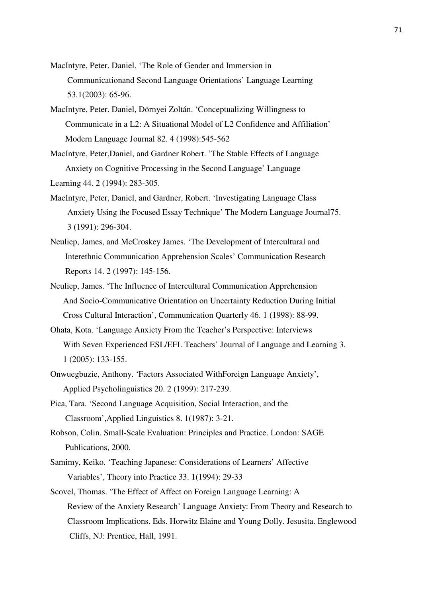- MacIntyre, Peter. Daniel. 'The Role of Gender and Immersion in Communicationand Second Language Orientations' Language Learning 53.1(2003): 65-96.
- MacIntyre, Peter. Daniel, Dörnyei Zoltán. 'Conceptualizing Willingness to Communicate in a L2: A Situational Model of L2 Confidence and Affiliation' Modern Language Journal 82. 4 (1998):545-562
- MacIntyre, Peter,Daniel, and Gardner Robert. 'The Stable Effects of Language Anxiety on Cognitive Processing in the Second Language' Language Learning 44. 2 (1994): 283-305.
- MacIntyre, Peter, Daniel, and Gardner, Robert. 'Investigating Language Class Anxiety Using the Focused Essay Technique' The Modern Language Journal75. 3 (1991): 296-304.
- Neuliep, James, and McCroskey James. 'The Development of Intercultural and Interethnic Communication Apprehension Scales' Communication Research Reports 14. 2 (1997): 145-156.
- Neuliep, James. 'The Influence of Intercultural Communication Apprehension And Socio-Communicative Orientation on Uncertainty Reduction During Initial Cross Cultural Interaction', Communication Quarterly 46. 1 (1998): 88-99.
- Ohata, Kota. 'Language Anxiety From the Teacher's Perspective: Interviews With Seven Experienced ESL/EFL Teachers' Journal of Language and Learning 3. 1 (2005): 133-155.
- Onwuegbuzie, Anthony. 'Factors Associated WithForeign Language Anxiety', Applied Psycholinguistics 20. 2 (1999): 217-239.
- Pica, Tara. 'Second Language Acquisition, Social Interaction, and the Classroom',Applied Linguistics 8. 1(1987): 3-21.
- Robson, Colin. Small-Scale Evaluation: Principles and Practice. London: SAGE Publications, 2000.
- Samimy, Keiko. 'Teaching Japanese: Considerations of Learners' Affective Variables', Theory into Practice 33. 1(1994): 29-33
- Scovel, Thomas. 'The Effect of Affect on Foreign Language Learning: A Review of the Anxiety Research' Language Anxiety: From Theory and Research to Classroom Implications. Eds. Horwitz Elaine and Young Dolly. Jesusita. Englewood Cliffs, NJ: Prentice, Hall, 1991.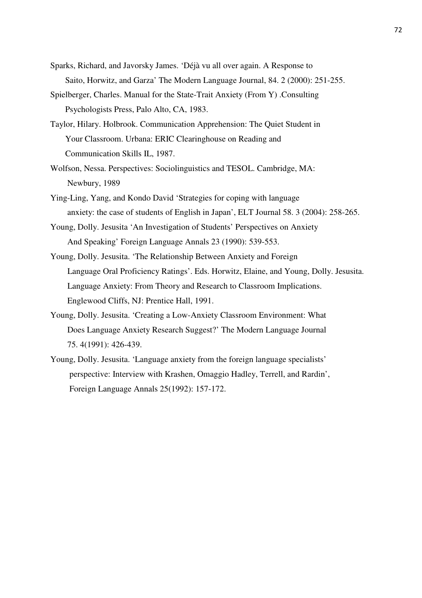- Sparks, Richard, and Javorsky James. 'Déjà vu all over again. A Response to Saito, Horwitz, and Garza' The Modern Language Journal, 84. 2 (2000): 251-255.
- Spielberger, Charles. Manual for the State-Trait Anxiety (From Y) .Consulting Psychologists Press, Palo Alto, CA, 1983.
- Taylor, Hilary. Holbrook. Communication Apprehension: The Quiet Student in Your Classroom. Urbana: ERIC Clearinghouse on Reading and Communication Skills IL, 1987.
- Wolfson, Nessa. Perspectives: Sociolinguistics and TESOL. Cambridge, MA: Newbury, 1989
- Ying-Ling, Yang, and Kondo David 'Strategies for coping with language anxiety: the case of students of English in Japan', ELT Journal 58. 3 (2004): 258-265.
- Young, Dolly. Jesusita 'An Investigation of Students' Perspectives on Anxiety And Speaking' Foreign Language Annals 23 (1990): 539-553.
- Young, Dolly. Jesusita. 'The Relationship Between Anxiety and Foreign Language Oral Proficiency Ratings'. Eds. Horwitz, Elaine, and Young, Dolly. Jesusita. Language Anxiety: From Theory and Research to Classroom Implications. Englewood Cliffs, NJ: Prentice Hall, 1991.
- Young, Dolly. Jesusita. 'Creating a Low-Anxiety Classroom Environment: What Does Language Anxiety Research Suggest?' The Modern Language Journal 75. 4(1991): 426-439.
- Young, Dolly. Jesusita. 'Language anxiety from the foreign language specialists' perspective: Interview with Krashen, Omaggio Hadley, Terrell, and Rardin', Foreign Language Annals 25(1992): 157-172.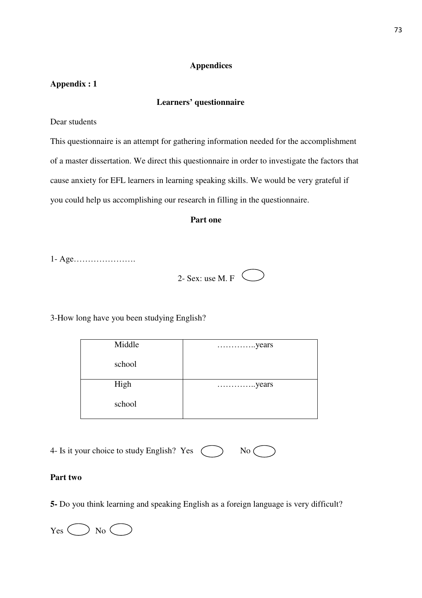# **Appendices**

# **Appendix : 1**

### **Learners' questionnaire**

Dear students

This questionnaire is an attempt for gathering information needed for the accomplishment of a master dissertation. We direct this questionnaire in order to investigate the factors that cause anxiety for EFL learners in learning speaking skills. We would be very grateful if you could help us accomplishing our research in filling in the questionnaire.

### **Part one**

1- Age………………….

| $2-$ Sex: use M. F |  |
|--------------------|--|
|                    |  |

3-How long have you been studying English?

| Middle | $\ldots$ years |
|--------|----------------|
| school |                |
| High   |                |
| school |                |

| 4- Is it your choice to study English? Yes ( |  | $\mathrm{No} \subset$ |
|----------------------------------------------|--|-----------------------|
|----------------------------------------------|--|-----------------------|

# **Part two**

**5-** Do you think learning and speaking English as a foreign language is very difficult?

 $Yes \bigcirc$  No  $\bigcirc$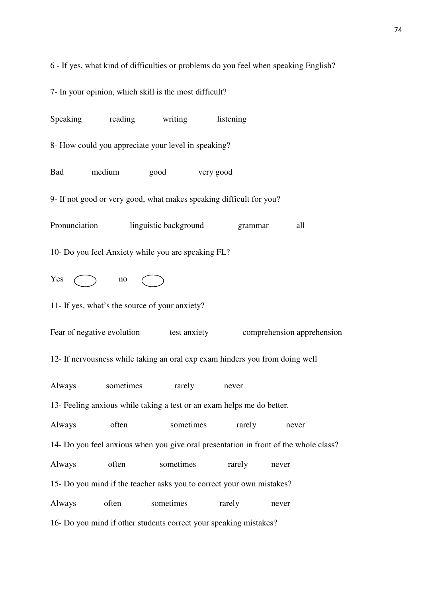6 - If yes, what kind of difficulties or problems do you feel when speaking English?

7- In your opinion, which skill is the most difficult?

Speaking reading writing listening 8- How could you appreciate your level in speaking? Bad medium good very good 9- If not good or very good, what makes speaking difficult for you? Pronunciation linguistic background grammar all 10- Do you feel Anxiety while you are speaking FL?  $Yes \frown$  no 11- If yes, what's the source of your anxiety? Fear of negative evolution test anxiety comprehension apprehension 12- If nervousness while taking an oral exp exam hinders you from doing well Always sometimes rarely never 13- Feeling anxious while taking a test or an exam helps me do better. Always often sometimes rarely never 14- Do you feel anxious when you give oral presentation in front of the whole class? Always often sometimes rarely never 15- Do you mind if the teacher asks you to correct your own mistakes? Always often sometimes rarely never 16- Do you mind if other students correct your speaking mistakes?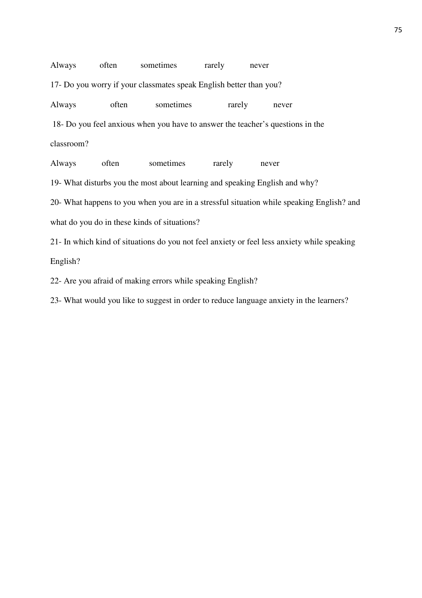| Always                                                                         | often | sometimes | rarely | never |  |  |  |
|--------------------------------------------------------------------------------|-------|-----------|--------|-------|--|--|--|
| 17- Do you worry if your classmates speak English better than you?             |       |           |        |       |  |  |  |
| Always                                                                         | often | sometimes | rarely | never |  |  |  |
| 18- Do you feel anxious when you have to answer the teacher's questions in the |       |           |        |       |  |  |  |
| classroom?                                                                     |       |           |        |       |  |  |  |
| Always                                                                         | often | sometimes | rarely | never |  |  |  |

19- What disturbs you the most about learning and speaking English and why?

20- What happens to you when you are in a stressful situation while speaking English? and what do you do in these kinds of situations?

21- In which kind of situations do you not feel anxiety or feel less anxiety while speaking English?

22- Are you afraid of making errors while speaking English?

23- What would you like to suggest in order to reduce language anxiety in the learners?